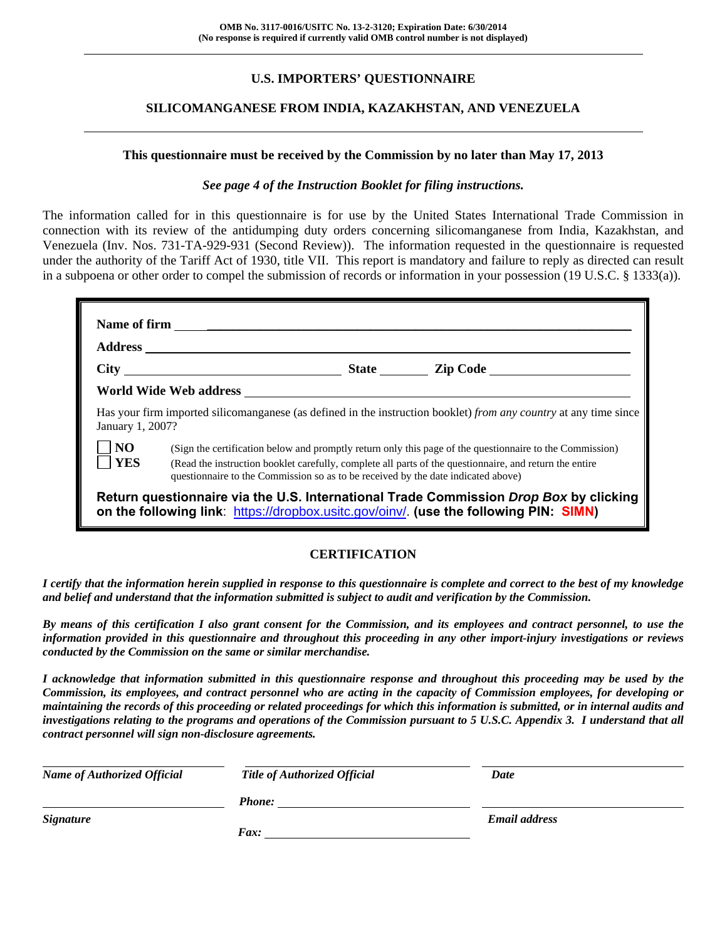# **U.S. IMPORTERS' QUESTIONNAIRE**

# **SILICOMANGANESE FROM INDIA, KAZAKHSTAN, AND VENEZUELA**

#### **This questionnaire must be received by the Commission by no later than May 17, 2013**

#### *See page 4 of the Instruction Booklet for filing instructions.*

The information called for in this questionnaire is for use by the United States International Trade Commission in connection with its review of the antidumping duty orders concerning silicomanganese from India, Kazakhstan, and Venezuela (Inv. Nos. 731-TA-929-931 (Second Review)). The information requested in the questionnaire is requested under the authority of the Tariff Act of 1930, title VII. This report is mandatory and failure to reply as directed can result in a subpoena or other order to compel the submission of records or information in your possession (19 U.S.C. § 1333(a)).

| January 1, 2007?             | Has your firm imported silicomanganese (as defined in the instruction booklet) from any country at any time since                                                                                                                                                                                        |
|------------------------------|----------------------------------------------------------------------------------------------------------------------------------------------------------------------------------------------------------------------------------------------------------------------------------------------------------|
| $\overline{N}$<br><b>YES</b> | (Sign the certification below and promptly return only this page of the questionnaire to the Commission)<br>(Read the instruction booklet carefully, complete all parts of the questionnaire, and return the entire<br>questionnaire to the Commission so as to be received by the date indicated above) |
|                              | Return questionnaire via the U.S. International Trade Commission Drop Box by clicking<br>on the following link: https://dropbox.usitc.gov/oinv/. (use the following PIN: SIMN)                                                                                                                           |

# **CERTIFICATION**

*I certify that the information herein supplied in response to this questionnaire is complete and correct to the best of my knowledge and belief and understand that the information submitted is subject to audit and verification by the Commission.* 

*By means of this certification I also grant consent for the Commission, and its employees and contract personnel, to use the information provided in this questionnaire and throughout this proceeding in any other import-injury investigations or reviews conducted by the Commission on the same or similar merchandise.* 

*I acknowledge that information submitted in this questionnaire response and throughout this proceeding may be used by the Commission, its employees, and contract personnel who are acting in the capacity of Commission employees, for developing or maintaining the records of this proceeding or related proceedings for which this information is submitted, or in internal audits and investigations relating to the programs and operations of the Commission pursuant to 5 U.S.C. Appendix 3. I understand that all contract personnel will sign non-disclosure agreements.* 

| <b>Name of Authorized Official</b> | <b>Title of Authorized Official</b> | Date                 |  |
|------------------------------------|-------------------------------------|----------------------|--|
|                                    | Phone:                              |                      |  |
| <b>Signature</b>                   |                                     | <b>Email address</b> |  |
|                                    | $\boldsymbol{F}$ <i>ax</i> :        |                      |  |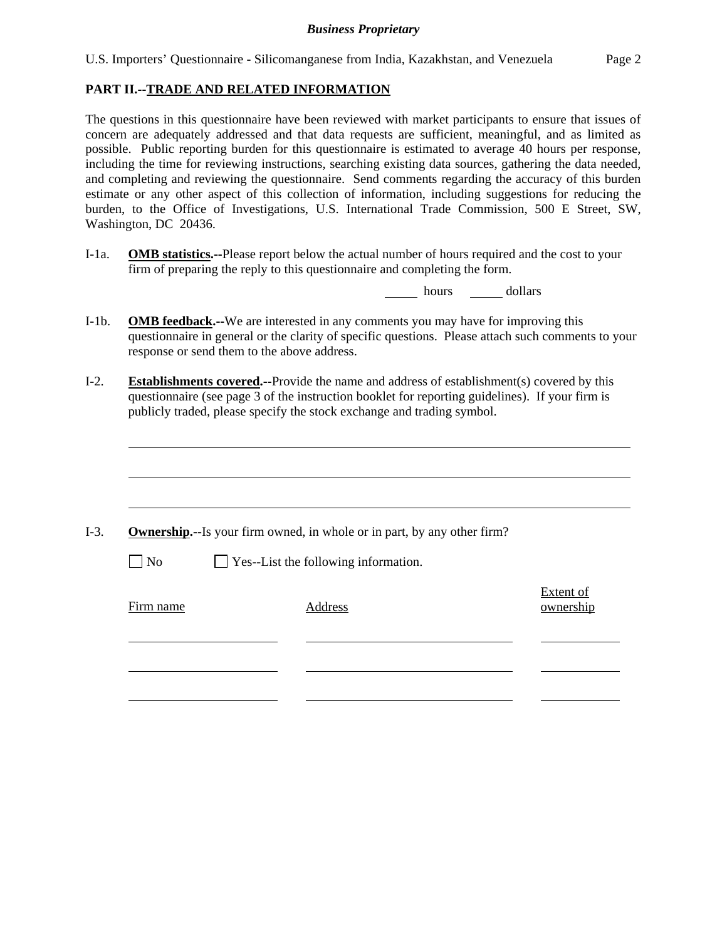#### **PART II.--TRADE AND RELATED INFORMATION**

The questions in this questionnaire have been reviewed with market participants to ensure that issues of concern are adequately addressed and that data requests are sufficient, meaningful, and as limited as possible. Public reporting burden for this questionnaire is estimated to average 40 hours per response, including the time for reviewing instructions, searching existing data sources, gathering the data needed, and completing and reviewing the questionnaire. Send comments regarding the accuracy of this burden estimate or any other aspect of this collection of information, including suggestions for reducing the burden, to the Office of Investigations, U.S. International Trade Commission, 500 E Street, SW, Washington, DC 20436.

I-1a. **OMB statistics.--**Please report below the actual number of hours required and the cost to your firm of preparing the reply to this questionnaire and completing the form.

hours \_\_\_\_\_\_\_ dollars

- I-1b. **OMB feedback.--**We are interested in any comments you may have for improving this questionnaire in general or the clarity of specific questions. Please attach such comments to your response or send them to the above address.
- I-2. **Establishments covered.--**Provide the name and address of establishment(s) covered by this questionnaire (see page 3 of the instruction booklet for reporting guidelines). If your firm is publicly traded, please specify the stock exchange and trading symbol.

|           | <b>Ownership.</b> --Is your firm owned, in whole or in part, by any other firm? |                               |
|-----------|---------------------------------------------------------------------------------|-------------------------------|
| $\neg$ No | Yes--List the following information.                                            |                               |
| Firm name | Address                                                                         | <b>Extent of</b><br>ownership |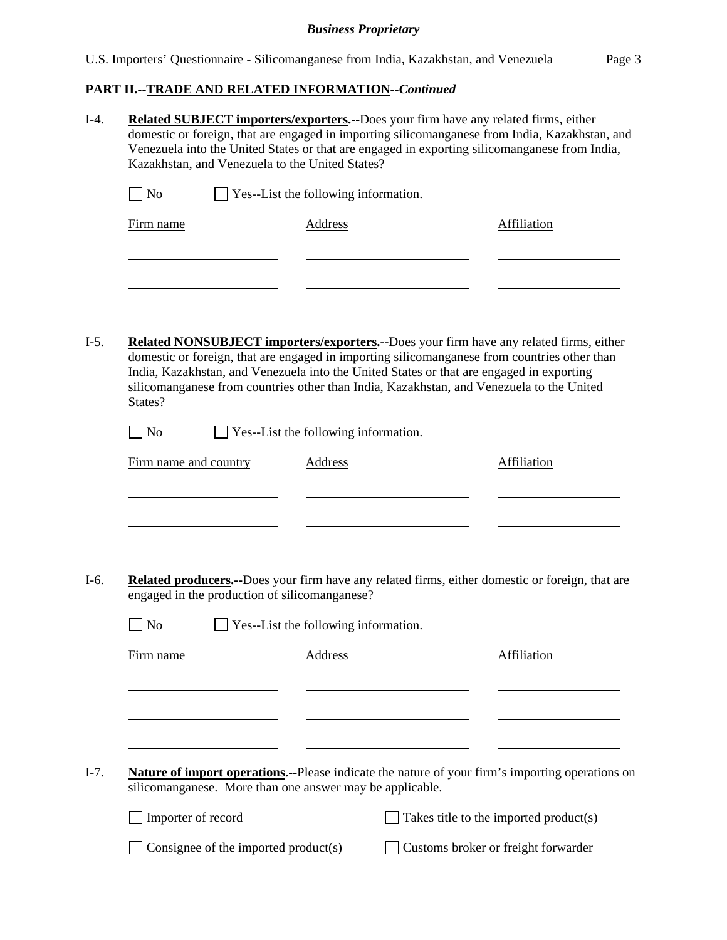# **PART II.--TRADE AND RELATED INFORMATION***--Continued*

| $I-4.$ | <b>Related SUBJECT importers/exporters.--Does your firm have any related firms, either</b><br>domestic or foreign, that are engaged in importing silicomanganese from India, Kazakhstan, and<br>Venezuela into the United States or that are engaged in exporting silicomanganese from India,<br>Kazakhstan, and Venezuela to the United States? |                                      |                                      |                                                                                          |                                                                                                                                                                                                                                                                                           |  |  |  |  |
|--------|--------------------------------------------------------------------------------------------------------------------------------------------------------------------------------------------------------------------------------------------------------------------------------------------------------------------------------------------------|--------------------------------------|--------------------------------------|------------------------------------------------------------------------------------------|-------------------------------------------------------------------------------------------------------------------------------------------------------------------------------------------------------------------------------------------------------------------------------------------|--|--|--|--|
|        | N <sub>o</sub>                                                                                                                                                                                                                                                                                                                                   |                                      | Yes--List the following information. |                                                                                          |                                                                                                                                                                                                                                                                                           |  |  |  |  |
|        | Firm name                                                                                                                                                                                                                                                                                                                                        |                                      | <b>Address</b>                       |                                                                                          | Affiliation                                                                                                                                                                                                                                                                               |  |  |  |  |
|        |                                                                                                                                                                                                                                                                                                                                                  |                                      |                                      |                                                                                          |                                                                                                                                                                                                                                                                                           |  |  |  |  |
| $I-5.$ | States?                                                                                                                                                                                                                                                                                                                                          |                                      |                                      | India, Kazakhstan, and Venezuela into the United States or that are engaged in exporting | <b>Related NONSUBJECT importers/exporters.--Does your firm have any related firms, either</b><br>domestic or foreign, that are engaged in importing silicomanganese from countries other than<br>silicomanganese from countries other than India, Kazakhstan, and Venezuela to the United |  |  |  |  |
|        | $\log$                                                                                                                                                                                                                                                                                                                                           | Yes--List the following information. |                                      |                                                                                          |                                                                                                                                                                                                                                                                                           |  |  |  |  |
|        | Firm name and country                                                                                                                                                                                                                                                                                                                            |                                      | <b>Address</b>                       |                                                                                          | <b>Affiliation</b>                                                                                                                                                                                                                                                                        |  |  |  |  |
|        |                                                                                                                                                                                                                                                                                                                                                  |                                      |                                      |                                                                                          |                                                                                                                                                                                                                                                                                           |  |  |  |  |
| I-6.   | engaged in the production of silicomanganese?                                                                                                                                                                                                                                                                                                    |                                      |                                      |                                                                                          | Related producers.--Does your firm have any related firms, either domestic or foreign, that are                                                                                                                                                                                           |  |  |  |  |
|        | N <sub>o</sub>                                                                                                                                                                                                                                                                                                                                   |                                      | Yes--List the following information. |                                                                                          |                                                                                                                                                                                                                                                                                           |  |  |  |  |
|        | Firm name                                                                                                                                                                                                                                                                                                                                        |                                      | <b>Address</b>                       |                                                                                          | Affiliation                                                                                                                                                                                                                                                                               |  |  |  |  |
|        |                                                                                                                                                                                                                                                                                                                                                  |                                      |                                      |                                                                                          |                                                                                                                                                                                                                                                                                           |  |  |  |  |
| $I-7.$ | silicomanganese. More than one answer may be applicable.                                                                                                                                                                                                                                                                                         |                                      |                                      |                                                                                          | <b>Nature of import operations.</b> --Please indicate the nature of your firm's importing operations on                                                                                                                                                                                   |  |  |  |  |
|        | Importer of record                                                                                                                                                                                                                                                                                                                               |                                      |                                      |                                                                                          | Takes title to the imported product(s)                                                                                                                                                                                                                                                    |  |  |  |  |
|        |                                                                                                                                                                                                                                                                                                                                                  | Consignee of the imported product(s) |                                      |                                                                                          | Customs broker or freight forwarder                                                                                                                                                                                                                                                       |  |  |  |  |
|        |                                                                                                                                                                                                                                                                                                                                                  |                                      |                                      |                                                                                          |                                                                                                                                                                                                                                                                                           |  |  |  |  |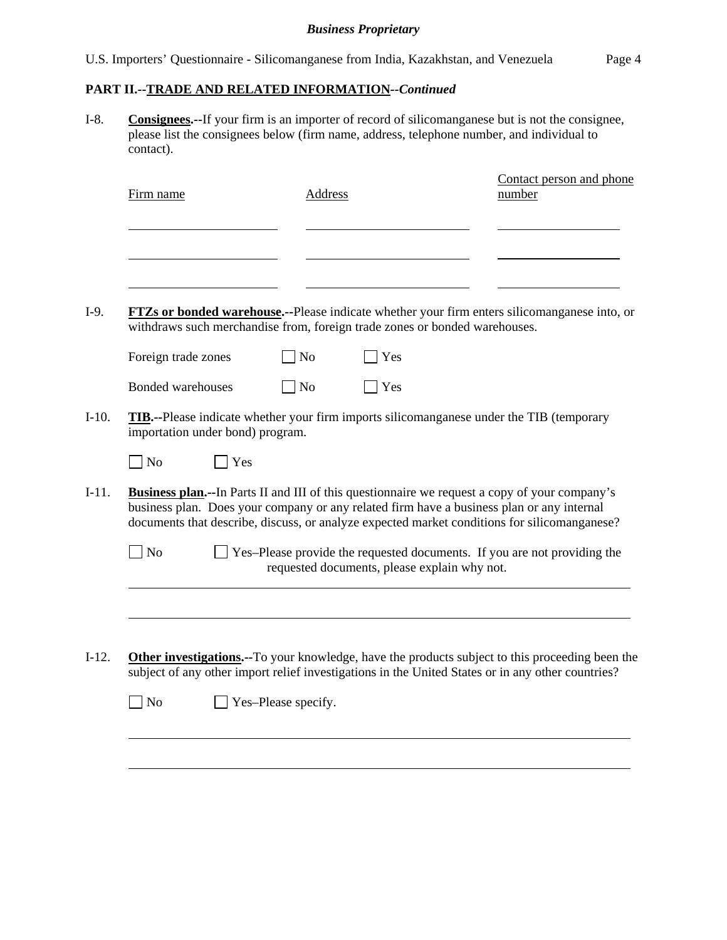# **PART II.--TRADE AND RELATED INFORMATION***--Continued*

I-8. **Consignees.--**If your firm is an importer of record of silicomanganese but is not the consignee, please list the consignees below (firm name, address, telephone number, and individual to contact).

|                                  |     |                | withdraws such merchandise from, foreign trade zones or bonded warehouses. | <b>FTZs or bonded warehouse.</b> --Please indicate whether your firm enters silicomanganese into, or                                                                                                                                                                                               |
|----------------------------------|-----|----------------|----------------------------------------------------------------------------|----------------------------------------------------------------------------------------------------------------------------------------------------------------------------------------------------------------------------------------------------------------------------------------------------|
| Foreign trade zones              |     | N <sub>o</sub> | Yes                                                                        |                                                                                                                                                                                                                                                                                                    |
| Bonded warehouses                |     | <b>No</b>      | Yes                                                                        |                                                                                                                                                                                                                                                                                                    |
| importation under bond) program. |     |                |                                                                            | <b>TIB.</b> --Please indicate whether your firm imports silicomanganese under the TIB (temporary                                                                                                                                                                                                   |
| N <sub>o</sub>                   | Yes |                |                                                                            |                                                                                                                                                                                                                                                                                                    |
|                                  |     |                |                                                                            | <b>Business plan.</b> --In Parts II and III of this questionnaire we request a copy of your company's<br>business plan. Does your company or any related firm have a business plan or any internal<br>documents that describe, discuss, or analyze expected market conditions for silicomanganese? |
| N <sub>o</sub>                   |     |                | requested documents, please explain why not.                               | Yes-Please provide the requested documents. If you are not providing the                                                                                                                                                                                                                           |
|                                  |     |                |                                                                            |                                                                                                                                                                                                                                                                                                    |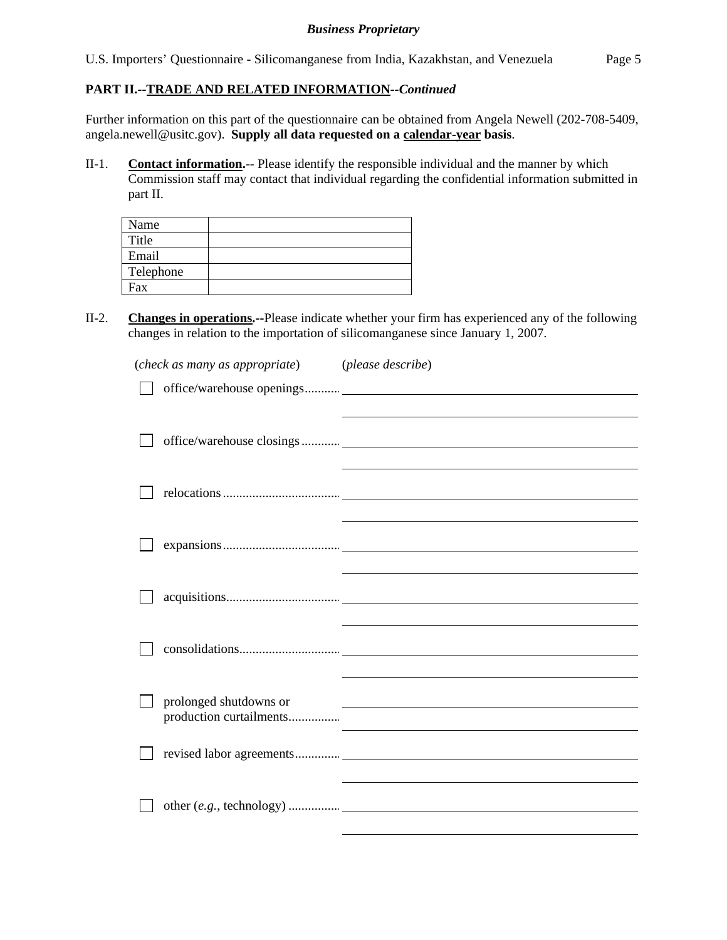U.S. Importers' Questionnaire - Silicomanganese from India, Kazakhstan, and Venezuela Page 5

## **PART II.--TRADE AND RELATED INFORMATION***--Continued*

Further information on this part of the questionnaire can be obtained from Angela Newell (202-708-5409, angela.newell@usitc.gov). **Supply all data requested on a calendar-year basis**.

II-1. **Contact information.**-- Please identify the responsible individual and the manner by which Commission staff may contact that individual regarding the confidential information submitted in part II.

| Name      |  |
|-----------|--|
| Title     |  |
| Email     |  |
| Telephone |  |
| Fax       |  |

II-2. **Changes in operations.--**Please indicate whether your firm has experienced any of the following changes in relation to the importation of silicomanganese since January 1, 2007.

| (check as many as appropriate)                    | (please describe)                                                                                                                                                                                                             |
|---------------------------------------------------|-------------------------------------------------------------------------------------------------------------------------------------------------------------------------------------------------------------------------------|
|                                                   |                                                                                                                                                                                                                               |
|                                                   | the control of the control of the control of the control of the control of the control of the control of the control of the control of the control of the control of the control of the control of the control of the control |
|                                                   |                                                                                                                                                                                                                               |
|                                                   | the control of the control of the control of the control of the control of the control of the control of the control of the control of the control of the control of the control of the control of the control of the control |
|                                                   |                                                                                                                                                                                                                               |
|                                                   |                                                                                                                                                                                                                               |
| prolonged shutdowns or<br>production curtailments | <u> 1980 - Andrea Barbara, poeta esperanto-poeta esperanto-poeta esperanto-poeta esperanto-poeta esperanto-poeta</u>                                                                                                          |
|                                                   |                                                                                                                                                                                                                               |
|                                                   |                                                                                                                                                                                                                               |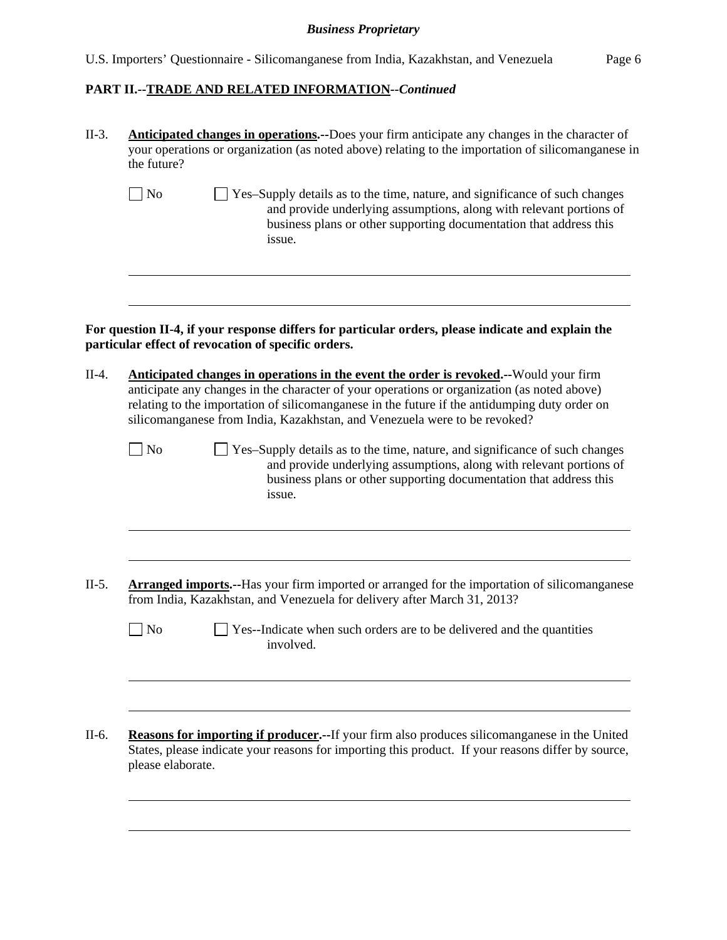# **PART II.--TRADE AND RELATED INFORMATION***--Continued*

| <b>Anticipated changes in operations.</b> --Does your firm anticipate any changes in the character of<br>your operations or organization (as noted above) relating to the importation of silicomanganese in<br>the future?                                                                                                                                                 |  |  |  |  |  |  |  |
|----------------------------------------------------------------------------------------------------------------------------------------------------------------------------------------------------------------------------------------------------------------------------------------------------------------------------------------------------------------------------|--|--|--|--|--|--|--|
| $\vert$ No<br>Yes-Supply details as to the time, nature, and significance of such changes<br>and provide underlying assumptions, along with relevant portions of<br>business plans or other supporting documentation that address this<br>issue.                                                                                                                           |  |  |  |  |  |  |  |
| For question II-4, if your response differs for particular orders, please indicate and explain the<br>particular effect of revocation of specific orders.                                                                                                                                                                                                                  |  |  |  |  |  |  |  |
| <b>Anticipated changes in operations in the event the order is revoked.</b> --Would your firm<br>anticipate any changes in the character of your operations or organization (as noted above)<br>relating to the importation of silicomanganese in the future if the antidumping duty order on<br>silicomanganese from India, Kazakhstan, and Venezuela were to be revoked? |  |  |  |  |  |  |  |
| N <sub>o</sub><br>$\perp$ Yes-Supply details as to the time, nature, and significance of such changes<br>and provide underlying assumptions, along with relevant portions of<br>business plans or other supporting documentation that address this<br>issue.                                                                                                               |  |  |  |  |  |  |  |
| <b>Arranged imports.</b> --Has your firm imported or arranged for the importation of silicomanganese<br>from India, Kazakhstan, and Venezuela for delivery after March 31, 2013?                                                                                                                                                                                           |  |  |  |  |  |  |  |
| $\big $ No<br>Yes--Indicate when such orders are to be delivered and the quantities<br>involved.                                                                                                                                                                                                                                                                           |  |  |  |  |  |  |  |
| <b>Reasons for importing if producer.</b> --If your firm also produces silicomanganese in the United<br>States, please indicate your reasons for importing this product. If your reasons differ by source,<br>please elaborate.                                                                                                                                            |  |  |  |  |  |  |  |
|                                                                                                                                                                                                                                                                                                                                                                            |  |  |  |  |  |  |  |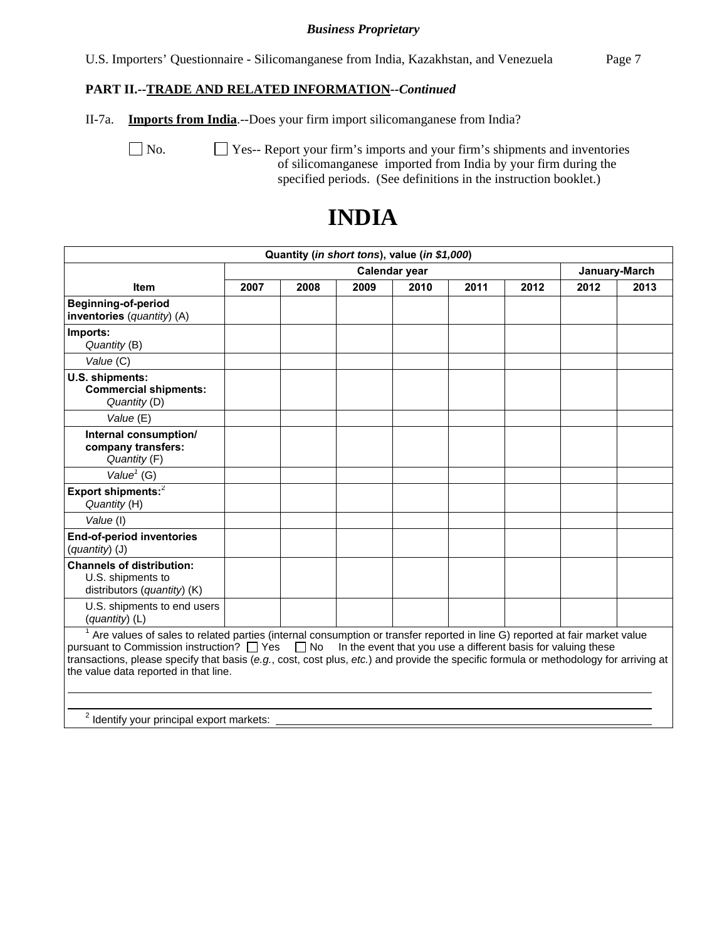U.S. Importers' Questionnaire - Silicomanganese from India, Kazakhstan, and Venezuela Page 7

# **PART II.--TRADE AND RELATED INFORMATION***--Continued*

II-7a. **Imports from India**.--Does your firm import silicomanganese from India?

No.  $\Box$  Yes-- Report your firm's imports and your firm's shipments and inventories of silicomanganese imported from India by your firm during the specified periods. (See definitions in the instruction booklet.)

| Quantity (in short tons), value (in \$1,000)                                                                                                                                                                                                                                                                                                                                                                                               |      |      |      |               |      |      |      |               |
|--------------------------------------------------------------------------------------------------------------------------------------------------------------------------------------------------------------------------------------------------------------------------------------------------------------------------------------------------------------------------------------------------------------------------------------------|------|------|------|---------------|------|------|------|---------------|
|                                                                                                                                                                                                                                                                                                                                                                                                                                            |      |      |      | Calendar year |      |      |      | January-March |
| <b>Item</b>                                                                                                                                                                                                                                                                                                                                                                                                                                | 2007 | 2008 | 2009 | 2010          | 2011 | 2012 | 2012 | 2013          |
| Beginning-of-period<br>inventories (quantity) (A)                                                                                                                                                                                                                                                                                                                                                                                          |      |      |      |               |      |      |      |               |
| Imports:<br>Quantity (B)                                                                                                                                                                                                                                                                                                                                                                                                                   |      |      |      |               |      |      |      |               |
| Value (C)                                                                                                                                                                                                                                                                                                                                                                                                                                  |      |      |      |               |      |      |      |               |
| U.S. shipments:<br><b>Commercial shipments:</b><br>Quantity (D)                                                                                                                                                                                                                                                                                                                                                                            |      |      |      |               |      |      |      |               |
| Value (E)                                                                                                                                                                                                                                                                                                                                                                                                                                  |      |      |      |               |      |      |      |               |
| Internal consumption/<br>company transfers:<br>Quantity (F)                                                                                                                                                                                                                                                                                                                                                                                |      |      |      |               |      |      |      |               |
| Value <sup><math>1</math></sup> (G)                                                                                                                                                                                                                                                                                                                                                                                                        |      |      |      |               |      |      |      |               |
| Export shipments: <sup>2</sup><br>Quantity (H)                                                                                                                                                                                                                                                                                                                                                                                             |      |      |      |               |      |      |      |               |
| Value (I)                                                                                                                                                                                                                                                                                                                                                                                                                                  |      |      |      |               |      |      |      |               |
| <b>End-of-period inventories</b><br>(quantity) (J)                                                                                                                                                                                                                                                                                                                                                                                         |      |      |      |               |      |      |      |               |
| <b>Channels of distribution:</b><br>U.S. shipments to<br>distributors (quantity) (K)                                                                                                                                                                                                                                                                                                                                                       |      |      |      |               |      |      |      |               |
| U.S. shipments to end users<br>$(quantity)$ (L)                                                                                                                                                                                                                                                                                                                                                                                            |      |      |      |               |      |      |      |               |
| $1$ Are values of sales to related parties (internal consumption or transfer reported in line G) reported at fair market value<br>pursuant to Commission instruction? $\Box$ Yes $\Box$ No In the event that you use a different basis for valuing these<br>transactions, please specify that basis (e.g., cost, cost plus, etc.) and provide the specific formula or methodology for arriving at<br>the value data reported in that line. |      |      |      |               |      |      |      |               |

# **INDIA**

 $2$  Identify your principal export markets: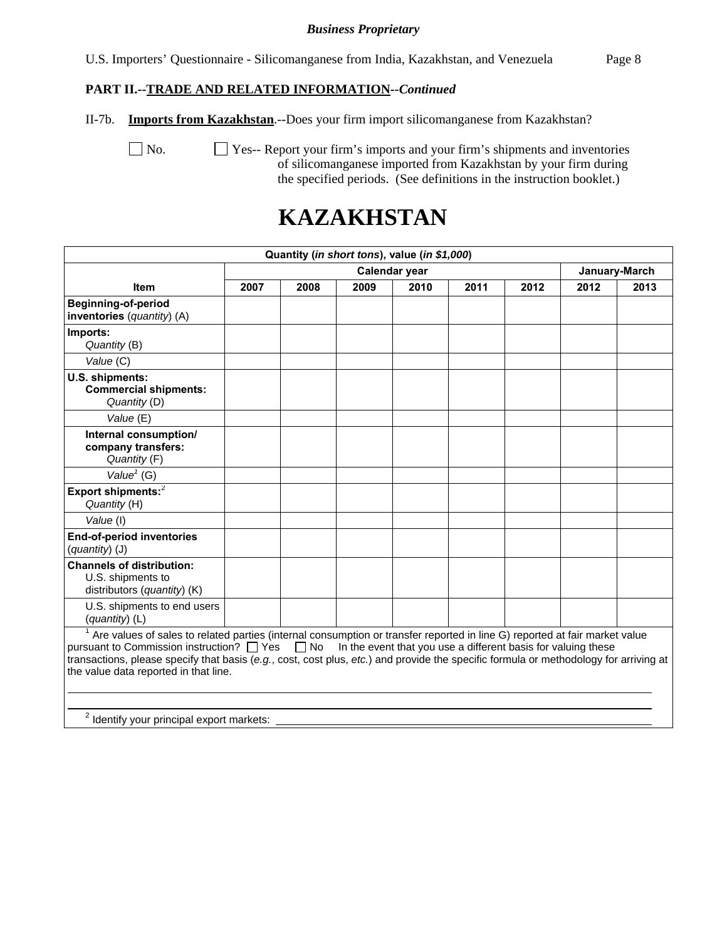U.S. Importers' Questionnaire - Silicomanganese from India, Kazakhstan, and Venezuela Page 8

#### **PART II.--TRADE AND RELATED INFORMATION***--Continued*

II-7b. **Imports from Kazakhstan**.--Does your firm import silicomanganese from Kazakhstan?

 No. Yes-- Report your firm's imports and your firm's shipments and inventories of silicomanganese imported from Kazakhstan by your firm during the specified periods. (See definitions in the instruction booklet.)

# **KAZAKHSTAN**

| Quantity (in short tons), value (in \$1,000)                                                                                                                                                                                                                                                                                                                                                                                             |      |      |      |               |      |      |      |               |  |
|------------------------------------------------------------------------------------------------------------------------------------------------------------------------------------------------------------------------------------------------------------------------------------------------------------------------------------------------------------------------------------------------------------------------------------------|------|------|------|---------------|------|------|------|---------------|--|
|                                                                                                                                                                                                                                                                                                                                                                                                                                          |      |      |      | Calendar year |      |      |      | January-March |  |
| <b>Item</b>                                                                                                                                                                                                                                                                                                                                                                                                                              | 2007 | 2008 | 2009 | 2010          | 2011 | 2012 | 2012 | 2013          |  |
| Beginning-of-period<br>inventories (quantity) (A)                                                                                                                                                                                                                                                                                                                                                                                        |      |      |      |               |      |      |      |               |  |
| Imports:<br>Quantity (B)                                                                                                                                                                                                                                                                                                                                                                                                                 |      |      |      |               |      |      |      |               |  |
| Value (C)                                                                                                                                                                                                                                                                                                                                                                                                                                |      |      |      |               |      |      |      |               |  |
| U.S. shipments:<br><b>Commercial shipments:</b><br>Quantity (D)<br>Value (E)                                                                                                                                                                                                                                                                                                                                                             |      |      |      |               |      |      |      |               |  |
| Internal consumption/<br>company transfers:<br>Quantity (F)                                                                                                                                                                                                                                                                                                                                                                              |      |      |      |               |      |      |      |               |  |
| Value <sup><math>1</math></sup> (G)                                                                                                                                                                                                                                                                                                                                                                                                      |      |      |      |               |      |      |      |               |  |
| Export shipments: <sup>2</sup><br>Quantity (H)                                                                                                                                                                                                                                                                                                                                                                                           |      |      |      |               |      |      |      |               |  |
| Value (I)                                                                                                                                                                                                                                                                                                                                                                                                                                |      |      |      |               |      |      |      |               |  |
| <b>End-of-period inventories</b><br>(quantity) (J)                                                                                                                                                                                                                                                                                                                                                                                       |      |      |      |               |      |      |      |               |  |
| <b>Channels of distribution:</b><br>U.S. shipments to<br>distributors (quantity) (K)                                                                                                                                                                                                                                                                                                                                                     |      |      |      |               |      |      |      |               |  |
| U.S. shipments to end users<br>(quantity) (L)                                                                                                                                                                                                                                                                                                                                                                                            |      |      |      |               |      |      |      |               |  |
| $1$ Are values of sales to related parties (internal consumption or transfer reported in line G) reported at fair market value<br>pursuant to Commission instruction? □ Yes<br>$\Box$ No In the event that you use a different basis for valuing these<br>transactions, please specify that basis (e.g., cost, cost plus, etc.) and provide the specific formula or methodology for arriving at<br>the value data reported in that line. |      |      |      |               |      |      |      |               |  |
| <sup>2</sup> Identify your principal export markets:                                                                                                                                                                                                                                                                                                                                                                                     |      |      |      |               |      |      |      |               |  |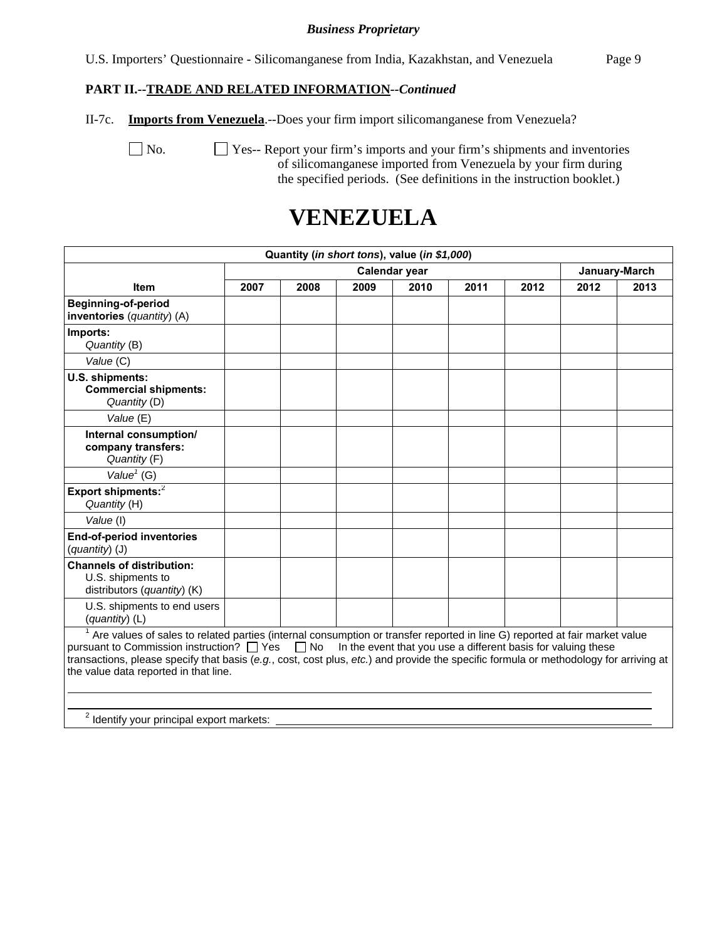U.S. Importers' Questionnaire - Silicomanganese from India, Kazakhstan, and Venezuela Page 9

### **PART II.--TRADE AND RELATED INFORMATION***--Continued*

II-7c. **Imports from Venezuela**.--Does your firm import silicomanganese from Venezuela?

 No. Yes-- Report your firm's imports and your firm's shipments and inventories of silicomanganese imported from Venezuela by your firm during the specified periods. (See definitions in the instruction booklet.)

# **VENEZUELA**

| Quantity (in short tons), value (in \$1,000)                                                                                                                                                                                                                                                                                                                                                                                                         |      |      |      |               |      |      |      |      |  |
|------------------------------------------------------------------------------------------------------------------------------------------------------------------------------------------------------------------------------------------------------------------------------------------------------------------------------------------------------------------------------------------------------------------------------------------------------|------|------|------|---------------|------|------|------|------|--|
|                                                                                                                                                                                                                                                                                                                                                                                                                                                      |      |      |      | January-March |      |      |      |      |  |
| <b>Item</b>                                                                                                                                                                                                                                                                                                                                                                                                                                          | 2007 | 2008 | 2009 | 2010          | 2011 | 2012 | 2012 | 2013 |  |
| <b>Beginning-of-period</b><br>inventories (quantity) (A)                                                                                                                                                                                                                                                                                                                                                                                             |      |      |      |               |      |      |      |      |  |
| Imports:<br>Quantity (B)                                                                                                                                                                                                                                                                                                                                                                                                                             |      |      |      |               |      |      |      |      |  |
| Value (C)                                                                                                                                                                                                                                                                                                                                                                                                                                            |      |      |      |               |      |      |      |      |  |
| U.S. shipments:<br><b>Commercial shipments:</b><br>Quantity (D)                                                                                                                                                                                                                                                                                                                                                                                      |      |      |      |               |      |      |      |      |  |
| Value (E)                                                                                                                                                                                                                                                                                                                                                                                                                                            |      |      |      |               |      |      |      |      |  |
| Internal consumption/<br>company transfers:<br>Quantity (F)                                                                                                                                                                                                                                                                                                                                                                                          |      |      |      |               |      |      |      |      |  |
| Value <sup>1</sup> (G)                                                                                                                                                                                                                                                                                                                                                                                                                               |      |      |      |               |      |      |      |      |  |
| Export shipments: <sup>2</sup><br>Quantity (H)                                                                                                                                                                                                                                                                                                                                                                                                       |      |      |      |               |      |      |      |      |  |
| Value (I)                                                                                                                                                                                                                                                                                                                                                                                                                                            |      |      |      |               |      |      |      |      |  |
| <b>End-of-period inventories</b><br>(quantity) (J)                                                                                                                                                                                                                                                                                                                                                                                                   |      |      |      |               |      |      |      |      |  |
| <b>Channels of distribution:</b><br>U.S. shipments to<br>distributors (quantity) (K)                                                                                                                                                                                                                                                                                                                                                                 |      |      |      |               |      |      |      |      |  |
| U.S. shipments to end users<br>(quantity) (L)                                                                                                                                                                                                                                                                                                                                                                                                        |      |      |      |               |      |      |      |      |  |
| $\frac{1}{1}$ Are values of sales to related parties (internal consumption or transfer reported in line G) reported at fair market value<br>pursuant to Commission instruction? $\Box$ Yes $\Box$ No In the event that you use a different basis for valuing these<br>transactions, please specify that basis (e.g., cost, cost plus, etc.) and provide the specific formula or methodology for arriving at<br>the value data reported in that line. |      |      |      |               |      |      |      |      |  |
| 2.1                                                                                                                                                                                                                                                                                                                                                                                                                                                  |      |      |      |               |      |      |      |      |  |

 $2$  Identify your principal export markets: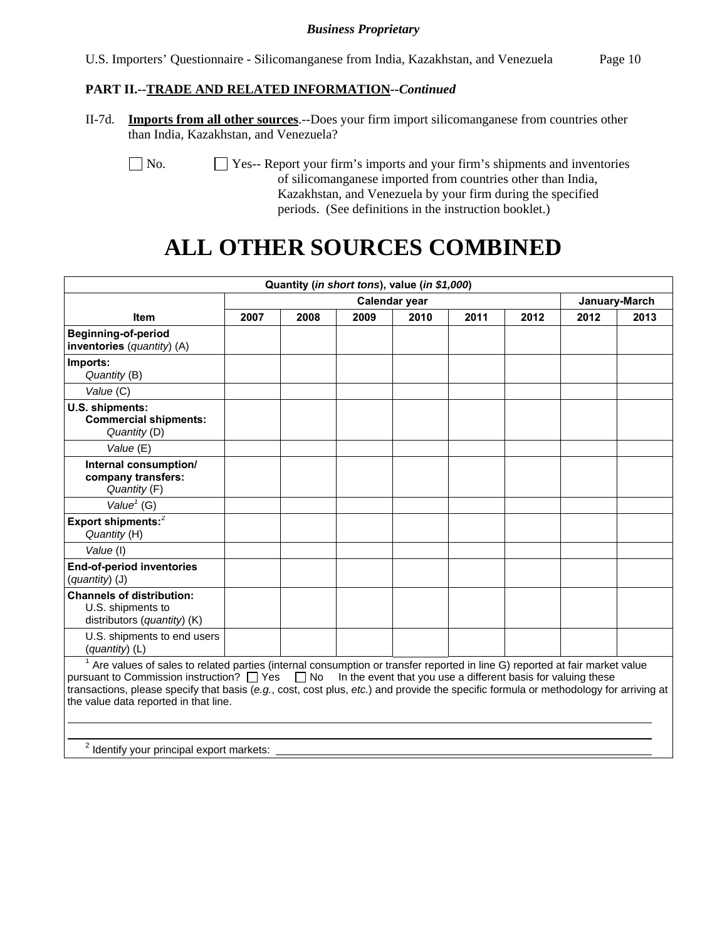# **PART II.--TRADE AND RELATED INFORMATION***--Continued*

II-7d. **Imports from all other sources**.--Does your firm import silicomanganese from countries other than India, Kazakhstan, and Venezuela?

No.  $\Box$  Yes-- Report your firm's imports and your firm's shipments and inventories of silicomanganese imported from countries other than India, Kazakhstan, and Venezuela by your firm during the specified periods. (See definitions in the instruction booklet.)

# **ALL OTHER SOURCES COMBINED**

| Quantity (in short tons), value (in \$1,000)                                                                                                                                                                                                                                                                                                                                                                                                        |      |               |      |      |      |      |      |               |  |
|-----------------------------------------------------------------------------------------------------------------------------------------------------------------------------------------------------------------------------------------------------------------------------------------------------------------------------------------------------------------------------------------------------------------------------------------------------|------|---------------|------|------|------|------|------|---------------|--|
|                                                                                                                                                                                                                                                                                                                                                                                                                                                     |      | Calendar year |      |      |      |      |      | January-March |  |
| <b>Item</b>                                                                                                                                                                                                                                                                                                                                                                                                                                         | 2007 | 2008          | 2009 | 2010 | 2011 | 2012 | 2012 | 2013          |  |
| <b>Beginning-of-period</b><br>inventories (quantity) (A)                                                                                                                                                                                                                                                                                                                                                                                            |      |               |      |      |      |      |      |               |  |
| Imports:<br>Quantity (B)                                                                                                                                                                                                                                                                                                                                                                                                                            |      |               |      |      |      |      |      |               |  |
| Value (C)                                                                                                                                                                                                                                                                                                                                                                                                                                           |      |               |      |      |      |      |      |               |  |
| U.S. shipments:<br><b>Commercial shipments:</b><br>Quantity (D)                                                                                                                                                                                                                                                                                                                                                                                     |      |               |      |      |      |      |      |               |  |
| Value (E)                                                                                                                                                                                                                                                                                                                                                                                                                                           |      |               |      |      |      |      |      |               |  |
| Internal consumption/<br>company transfers:<br>Quantity (F)                                                                                                                                                                                                                                                                                                                                                                                         |      |               |      |      |      |      |      |               |  |
| Value <sup><math>1</math></sup> (G)                                                                                                                                                                                                                                                                                                                                                                                                                 |      |               |      |      |      |      |      |               |  |
| Export shipments: <sup>2</sup><br>Quantity (H)                                                                                                                                                                                                                                                                                                                                                                                                      |      |               |      |      |      |      |      |               |  |
| Value (I)                                                                                                                                                                                                                                                                                                                                                                                                                                           |      |               |      |      |      |      |      |               |  |
| <b>End-of-period inventories</b><br>(quantity) (J)                                                                                                                                                                                                                                                                                                                                                                                                  |      |               |      |      |      |      |      |               |  |
| <b>Channels of distribution:</b><br>U.S. shipments to<br>distributors (quantity) (K)                                                                                                                                                                                                                                                                                                                                                                |      |               |      |      |      |      |      |               |  |
| U.S. shipments to end users<br>$(quantity)$ (L)                                                                                                                                                                                                                                                                                                                                                                                                     |      |               |      |      |      |      |      |               |  |
| <sup>1</sup> Are values of sales to related parties (internal consumption or transfer reported in line G) reported at fair market value<br>pursuant to Commission instruction? $\Box$ Yes $\Box$ No In the event that you use a different basis for valuing these<br>transactions, please specify that basis (e.g., cost, cost plus, etc.) and provide the specific formula or methodology for arriving at<br>the value data reported in that line. |      |               |      |      |      |      |      |               |  |
| <sup>2</sup> Identify your principal export markets:                                                                                                                                                                                                                                                                                                                                                                                                |      |               |      |      |      |      |      |               |  |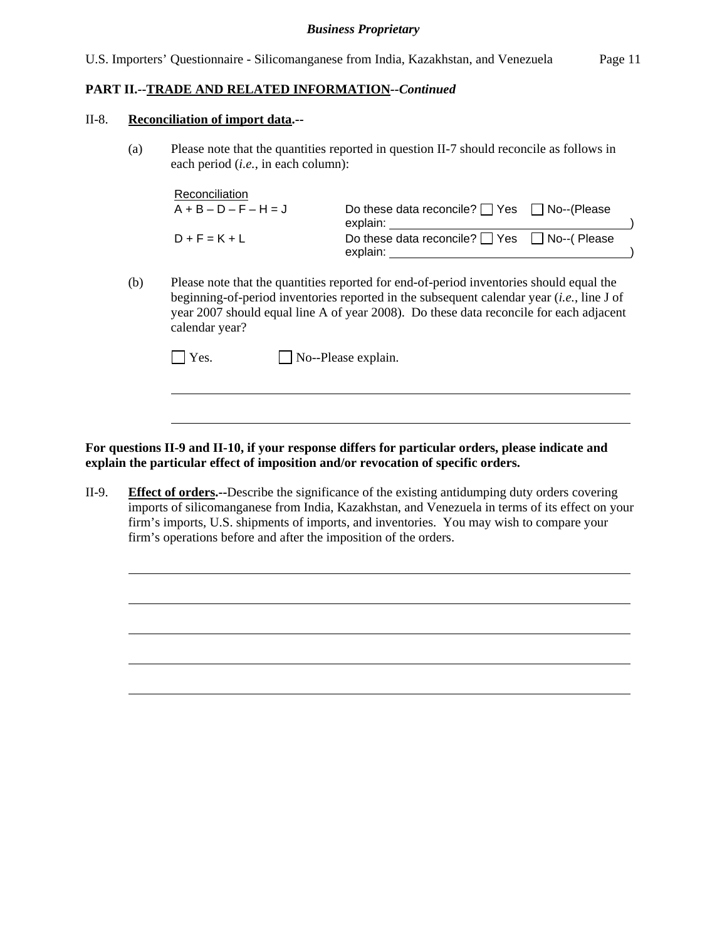## **PART II.--TRADE AND RELATED INFORMATION***--Continued*

#### II-8. **Reconciliation of import data.--**

l

l

(a) Please note that the quantities reported in question II-7 should reconcile as follows in each period (*i.e.*, in each column):

| Reconciliation          |                                                        |  |
|-------------------------|--------------------------------------------------------|--|
| $A + B - D - F - H = J$ | Do these data reconcile? $\Box$ Yes $\Box$ No--(Please |  |
|                         | explain:                                               |  |
| $D + F = K + L$         | Do these data reconcile? Ves I No--(Please             |  |
|                         | explain:                                               |  |

(b) Please note that the quantities reported for end-of-period inventories should equal the beginning-of-period inventories reported in the subsequent calendar year (*i.e.*, line J of year 2007 should equal line A of year 2008). Do these data reconcile for each adjacent calendar year?

| $\Box$ Yes. | $\Box$ No--Please explain. |
|-------------|----------------------------|
|-------------|----------------------------|

**For questions II-9 and II-10, if your response differs for particular orders, please indicate and explain the particular effect of imposition and/or revocation of specific orders.**

II-9. **Effect of orders.--**Describe the significance of the existing antidumping duty orders covering imports of silicomanganese from India, Kazakhstan, and Venezuela in terms of its effect on your firm's imports, U.S. shipments of imports, and inventories. You may wish to compare your firm's operations before and after the imposition of the orders.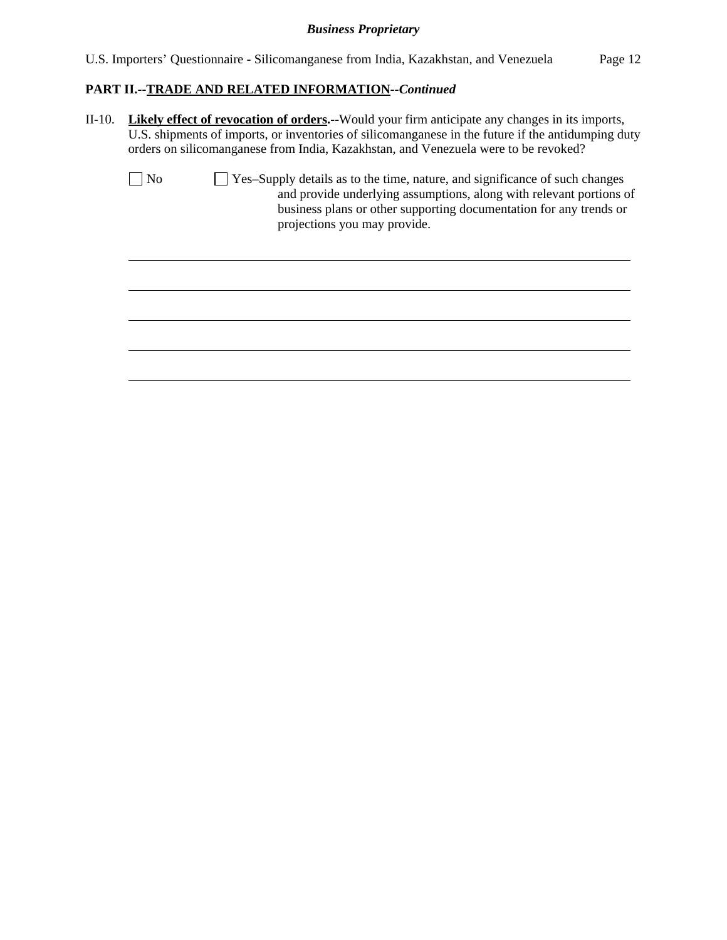#### **PART II.--TRADE AND RELATED INFORMATION***--Continued*

 $\overline{a}$ 

II-10. **Likely effect of revocation of orders.--**Would your firm anticipate any changes in its imports, U.S. shipments of imports, or inventories of silicomanganese in the future if the antidumping duty orders on silicomanganese from India, Kazakhstan, and Venezuela were to be revoked?

| $\vert$   No | $\Box$ Yes-Supply details as to the time, nature, and significance of such changes |
|--------------|------------------------------------------------------------------------------------|
|              | and provide underlying assumptions, along with relevant portions of                |
|              | business plans or other supporting documentation for any trends or                 |
|              | projections you may provide.                                                       |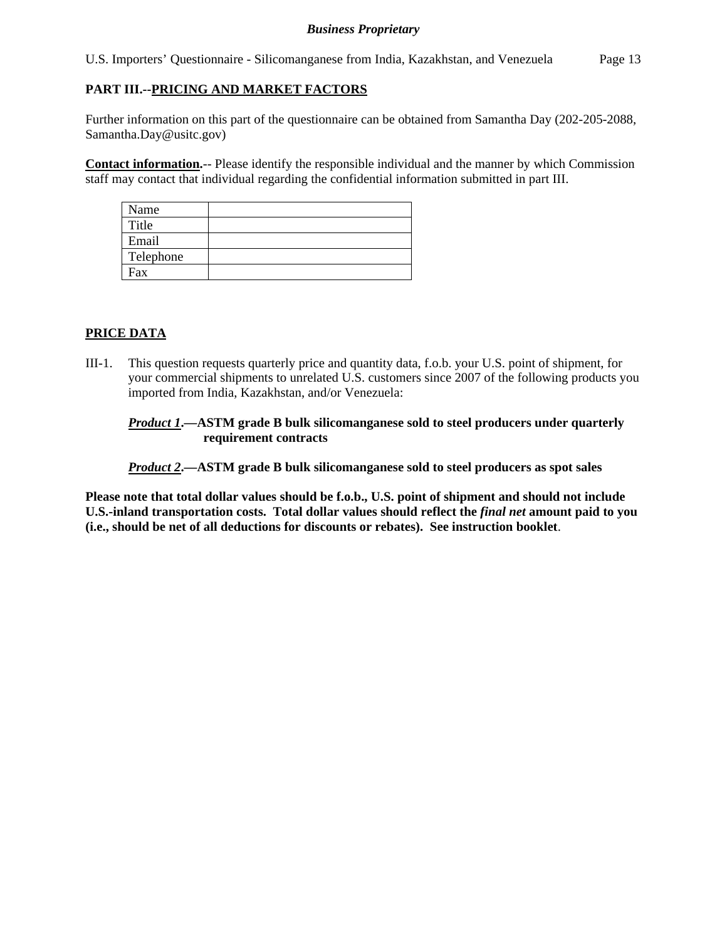U.S. Importers' Questionnaire - Silicomanganese from India, Kazakhstan, and Venezuela Page 13

# **PART III.--PRICING AND MARKET FACTORS**

Further information on this part of the questionnaire can be obtained from Samantha Day (202-205-2088, Samantha.Day@usitc.gov)

**Contact information.**-- Please identify the responsible individual and the manner by which Commission staff may contact that individual regarding the confidential information submitted in part III.

| Name      |  |
|-----------|--|
| Title     |  |
| Email     |  |
| Telephone |  |
| Fax       |  |

# **PRICE DATA**

III-1. This question requests quarterly price and quantity data, f.o.b. your U.S. point of shipment, for your commercial shipments to unrelated U.S. customers since 2007 of the following products you imported from India, Kazakhstan, and/or Venezuela:

### *Product 1***.—ASTM grade B bulk silicomanganese sold to steel producers under quarterly requirement contracts**

*Product 2***.—ASTM grade B bulk silicomanganese sold to steel producers as spot sales** 

**Please note that total dollar values should be f.o.b., U.S. point of shipment and should not include U.S.-inland transportation costs. Total dollar values should reflect the** *final net* **amount paid to you (i.e., should be net of all deductions for discounts or rebates). See instruction booklet**.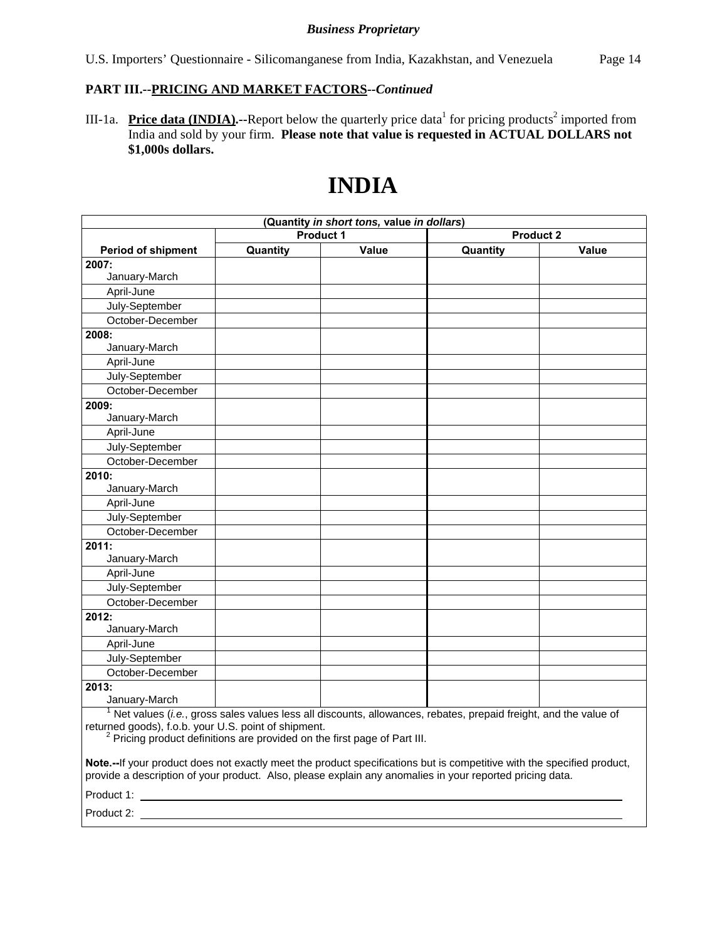#### **PART III.--PRICING AND MARKET FACTORS***--Continued*

III-1a. Price data (INDIA).--Report below the quarterly price data<sup>1</sup> for pricing products<sup>2</sup> imported from India and sold by your firm. **Please note that value is requested in ACTUAL DOLLARS not \$1,000s dollars.**

# **INDIA**

| (Quantity in short tons, value in dollars)                                                                                                                                                                                         |                                      |       |                                                                                                                     |              |  |
|------------------------------------------------------------------------------------------------------------------------------------------------------------------------------------------------------------------------------------|--------------------------------------|-------|---------------------------------------------------------------------------------------------------------------------|--------------|--|
|                                                                                                                                                                                                                                    | <b>Product 1</b><br><b>Product 2</b> |       |                                                                                                                     |              |  |
| <b>Period of shipment</b>                                                                                                                                                                                                          | Quantity                             | Value | Quantity                                                                                                            | <b>Value</b> |  |
| 2007:                                                                                                                                                                                                                              |                                      |       |                                                                                                                     |              |  |
| January-March                                                                                                                                                                                                                      |                                      |       |                                                                                                                     |              |  |
| April-June                                                                                                                                                                                                                         |                                      |       |                                                                                                                     |              |  |
| July-September                                                                                                                                                                                                                     |                                      |       |                                                                                                                     |              |  |
| October-December                                                                                                                                                                                                                   |                                      |       |                                                                                                                     |              |  |
| 2008:                                                                                                                                                                                                                              |                                      |       |                                                                                                                     |              |  |
| January-March                                                                                                                                                                                                                      |                                      |       |                                                                                                                     |              |  |
| April-June                                                                                                                                                                                                                         |                                      |       |                                                                                                                     |              |  |
| July-September                                                                                                                                                                                                                     |                                      |       |                                                                                                                     |              |  |
| October-December                                                                                                                                                                                                                   |                                      |       |                                                                                                                     |              |  |
| 2009:                                                                                                                                                                                                                              |                                      |       |                                                                                                                     |              |  |
| January-March                                                                                                                                                                                                                      |                                      |       |                                                                                                                     |              |  |
| April-June                                                                                                                                                                                                                         |                                      |       |                                                                                                                     |              |  |
| July-September                                                                                                                                                                                                                     |                                      |       |                                                                                                                     |              |  |
| October-December                                                                                                                                                                                                                   |                                      |       |                                                                                                                     |              |  |
| 2010:                                                                                                                                                                                                                              |                                      |       |                                                                                                                     |              |  |
| January-March                                                                                                                                                                                                                      |                                      |       |                                                                                                                     |              |  |
| April-June                                                                                                                                                                                                                         |                                      |       |                                                                                                                     |              |  |
| July-September                                                                                                                                                                                                                     |                                      |       |                                                                                                                     |              |  |
| October-December                                                                                                                                                                                                                   |                                      |       |                                                                                                                     |              |  |
| 2011:                                                                                                                                                                                                                              |                                      |       |                                                                                                                     |              |  |
| January-March                                                                                                                                                                                                                      |                                      |       |                                                                                                                     |              |  |
| April-June                                                                                                                                                                                                                         |                                      |       |                                                                                                                     |              |  |
| July-September                                                                                                                                                                                                                     |                                      |       |                                                                                                                     |              |  |
| October-December                                                                                                                                                                                                                   |                                      |       |                                                                                                                     |              |  |
| 2012:                                                                                                                                                                                                                              |                                      |       |                                                                                                                     |              |  |
| January-March                                                                                                                                                                                                                      |                                      |       |                                                                                                                     |              |  |
| April-June                                                                                                                                                                                                                         |                                      |       |                                                                                                                     |              |  |
| July-September                                                                                                                                                                                                                     |                                      |       |                                                                                                                     |              |  |
| October-December                                                                                                                                                                                                                   |                                      |       |                                                                                                                     |              |  |
| 2013:                                                                                                                                                                                                                              |                                      |       |                                                                                                                     |              |  |
| January-March                                                                                                                                                                                                                      |                                      |       |                                                                                                                     |              |  |
|                                                                                                                                                                                                                                    |                                      |       | $1$ Net values (i.e., gross sales values less all discounts, allowances, rebates, prepaid freight, and the value of |              |  |
| returned goods), f.o.b. your U.S. point of shipment.                                                                                                                                                                               |                                      |       |                                                                                                                     |              |  |
| <sup>2</sup> Pricing product definitions are provided on the first page of Part III.                                                                                                                                               |                                      |       |                                                                                                                     |              |  |
|                                                                                                                                                                                                                                    |                                      |       |                                                                                                                     |              |  |
| Note.--If your product does not exactly meet the product specifications but is competitive with the specified product,<br>provide a description of your product. Also, please explain any anomalies in your reported pricing data. |                                      |       |                                                                                                                     |              |  |
| Product 1:                                                                                                                                                                                                                         |                                      |       |                                                                                                                     |              |  |

Product 2: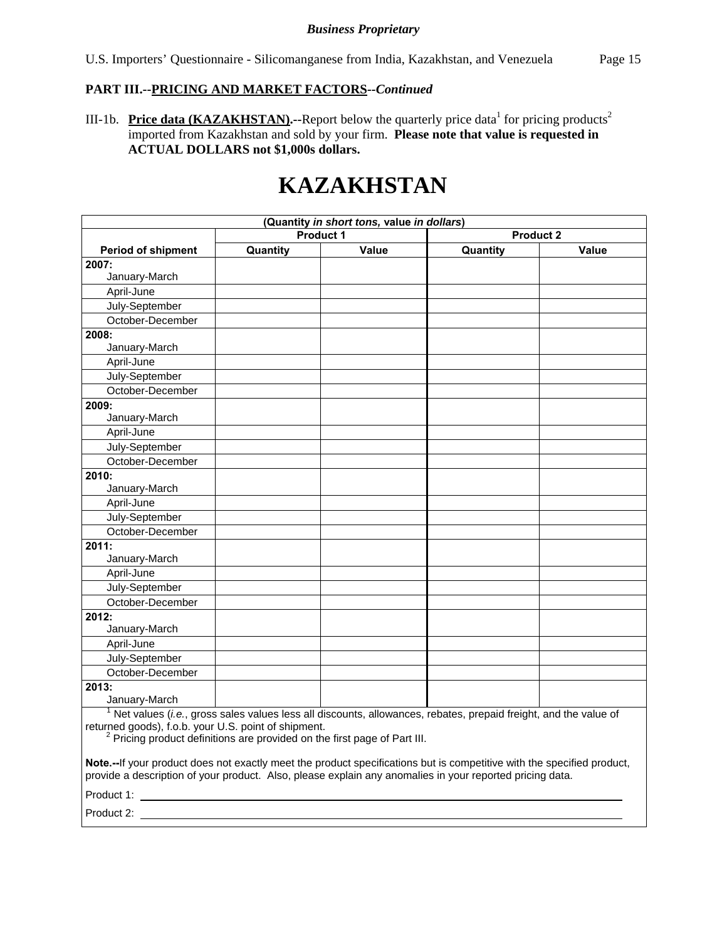# **PART III.--PRICING AND MARKET FACTORS***--Continued*

III-1b. Price data (KAZAKHSTAN).--Report below the quarterly price data<sup>1</sup> for pricing products<sup>2</sup> imported from Kazakhstan and sold by your firm. **Please note that value is requested in ACTUAL DOLLARS not \$1,000s dollars.**

# **KAZAKHSTAN**

| (Quantity in short tons, value in dollars)                                           |                                                                                                                                                                                                                                    |                  |                                                                                                                              |                  |  |
|--------------------------------------------------------------------------------------|------------------------------------------------------------------------------------------------------------------------------------------------------------------------------------------------------------------------------------|------------------|------------------------------------------------------------------------------------------------------------------------------|------------------|--|
|                                                                                      |                                                                                                                                                                                                                                    | <b>Product 1</b> |                                                                                                                              | <b>Product 2</b> |  |
| <b>Period of shipment</b>                                                            | Quantity                                                                                                                                                                                                                           | Value            | Quantity                                                                                                                     | Value            |  |
| 2007:                                                                                |                                                                                                                                                                                                                                    |                  |                                                                                                                              |                  |  |
| January-March                                                                        |                                                                                                                                                                                                                                    |                  |                                                                                                                              |                  |  |
| April-June                                                                           |                                                                                                                                                                                                                                    |                  |                                                                                                                              |                  |  |
| July-September                                                                       |                                                                                                                                                                                                                                    |                  |                                                                                                                              |                  |  |
| October-December                                                                     |                                                                                                                                                                                                                                    |                  |                                                                                                                              |                  |  |
| 2008:                                                                                |                                                                                                                                                                                                                                    |                  |                                                                                                                              |                  |  |
| January-March                                                                        |                                                                                                                                                                                                                                    |                  |                                                                                                                              |                  |  |
| April-June                                                                           |                                                                                                                                                                                                                                    |                  |                                                                                                                              |                  |  |
| July-September                                                                       |                                                                                                                                                                                                                                    |                  |                                                                                                                              |                  |  |
| October-December                                                                     |                                                                                                                                                                                                                                    |                  |                                                                                                                              |                  |  |
| 2009:                                                                                |                                                                                                                                                                                                                                    |                  |                                                                                                                              |                  |  |
| January-March                                                                        |                                                                                                                                                                                                                                    |                  |                                                                                                                              |                  |  |
| April-June                                                                           |                                                                                                                                                                                                                                    |                  |                                                                                                                              |                  |  |
| July-September                                                                       |                                                                                                                                                                                                                                    |                  |                                                                                                                              |                  |  |
| October-December                                                                     |                                                                                                                                                                                                                                    |                  |                                                                                                                              |                  |  |
| 2010:                                                                                |                                                                                                                                                                                                                                    |                  |                                                                                                                              |                  |  |
| January-March                                                                        |                                                                                                                                                                                                                                    |                  |                                                                                                                              |                  |  |
| April-June                                                                           |                                                                                                                                                                                                                                    |                  |                                                                                                                              |                  |  |
| July-September                                                                       |                                                                                                                                                                                                                                    |                  |                                                                                                                              |                  |  |
| October-December                                                                     |                                                                                                                                                                                                                                    |                  |                                                                                                                              |                  |  |
| 2011:                                                                                |                                                                                                                                                                                                                                    |                  |                                                                                                                              |                  |  |
| January-March                                                                        |                                                                                                                                                                                                                                    |                  |                                                                                                                              |                  |  |
| April-June                                                                           |                                                                                                                                                                                                                                    |                  |                                                                                                                              |                  |  |
| July-September                                                                       |                                                                                                                                                                                                                                    |                  |                                                                                                                              |                  |  |
| October-December                                                                     |                                                                                                                                                                                                                                    |                  |                                                                                                                              |                  |  |
| 2012:                                                                                |                                                                                                                                                                                                                                    |                  |                                                                                                                              |                  |  |
| January-March                                                                        |                                                                                                                                                                                                                                    |                  |                                                                                                                              |                  |  |
| April-June                                                                           |                                                                                                                                                                                                                                    |                  |                                                                                                                              |                  |  |
| July-September                                                                       |                                                                                                                                                                                                                                    |                  |                                                                                                                              |                  |  |
| October-December                                                                     |                                                                                                                                                                                                                                    |                  |                                                                                                                              |                  |  |
| 2013:                                                                                |                                                                                                                                                                                                                                    |                  |                                                                                                                              |                  |  |
| January-March                                                                        |                                                                                                                                                                                                                                    |                  |                                                                                                                              |                  |  |
|                                                                                      |                                                                                                                                                                                                                                    |                  | $1$ Net values ( <i>i.e.</i> , gross sales values less all discounts, allowances, rebates, prepaid freight, and the value of |                  |  |
| returned goods), f.o.b. your U.S. point of shipment.                                 |                                                                                                                                                                                                                                    |                  |                                                                                                                              |                  |  |
| <sup>2</sup> Pricing product definitions are provided on the first page of Part III. |                                                                                                                                                                                                                                    |                  |                                                                                                                              |                  |  |
|                                                                                      |                                                                                                                                                                                                                                    |                  |                                                                                                                              |                  |  |
|                                                                                      | Note.--If your product does not exactly meet the product specifications but is competitive with the specified product,<br>provide a description of your product. Also, please explain any anomalies in your reported pricing data. |                  |                                                                                                                              |                  |  |
| Product 1:                                                                           |                                                                                                                                                                                                                                    |                  |                                                                                                                              |                  |  |

Product 2: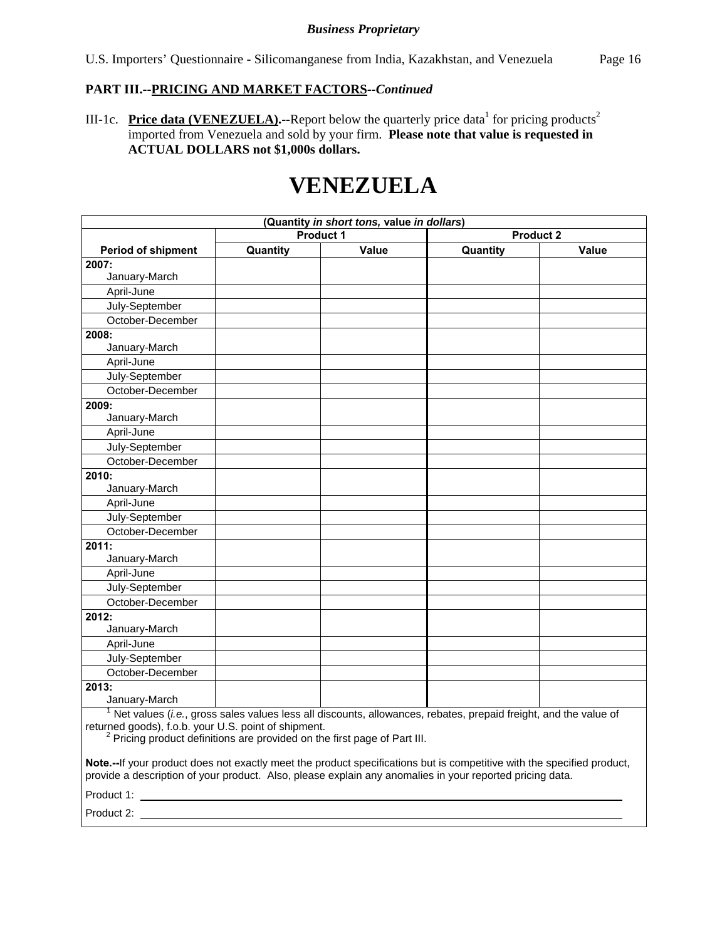# **PART III.--PRICING AND MARKET FACTORS***--Continued*

III-1c. Price data (VENEZUELA).--Report below the quarterly price data<sup>1</sup> for pricing products<sup>2</sup> imported from Venezuela and sold by your firm. **Please note that value is requested in ACTUAL DOLLARS not \$1,000s dollars.**

# **VENEZUELA**

| (Quantity in short tons, value in dollars)                                                                                                   |                                                                                                                                                                                                                                    |                  |                                                                                                                     |                  |  |
|----------------------------------------------------------------------------------------------------------------------------------------------|------------------------------------------------------------------------------------------------------------------------------------------------------------------------------------------------------------------------------------|------------------|---------------------------------------------------------------------------------------------------------------------|------------------|--|
|                                                                                                                                              |                                                                                                                                                                                                                                    | <b>Product 1</b> |                                                                                                                     | <b>Product 2</b> |  |
| <b>Period of shipment</b>                                                                                                                    | Quantity                                                                                                                                                                                                                           | Value            | Quantity                                                                                                            | <b>Value</b>     |  |
| 2007:                                                                                                                                        |                                                                                                                                                                                                                                    |                  |                                                                                                                     |                  |  |
| January-March                                                                                                                                |                                                                                                                                                                                                                                    |                  |                                                                                                                     |                  |  |
| April-June                                                                                                                                   |                                                                                                                                                                                                                                    |                  |                                                                                                                     |                  |  |
| July-September                                                                                                                               |                                                                                                                                                                                                                                    |                  |                                                                                                                     |                  |  |
| October-December                                                                                                                             |                                                                                                                                                                                                                                    |                  |                                                                                                                     |                  |  |
| 2008:                                                                                                                                        |                                                                                                                                                                                                                                    |                  |                                                                                                                     |                  |  |
| January-March                                                                                                                                |                                                                                                                                                                                                                                    |                  |                                                                                                                     |                  |  |
| April-June                                                                                                                                   |                                                                                                                                                                                                                                    |                  |                                                                                                                     |                  |  |
| July-September                                                                                                                               |                                                                                                                                                                                                                                    |                  |                                                                                                                     |                  |  |
| October-December                                                                                                                             |                                                                                                                                                                                                                                    |                  |                                                                                                                     |                  |  |
| 2009:                                                                                                                                        |                                                                                                                                                                                                                                    |                  |                                                                                                                     |                  |  |
| January-March                                                                                                                                |                                                                                                                                                                                                                                    |                  |                                                                                                                     |                  |  |
| April-June                                                                                                                                   |                                                                                                                                                                                                                                    |                  |                                                                                                                     |                  |  |
| July-September                                                                                                                               |                                                                                                                                                                                                                                    |                  |                                                                                                                     |                  |  |
| October-December                                                                                                                             |                                                                                                                                                                                                                                    |                  |                                                                                                                     |                  |  |
| 2010:                                                                                                                                        |                                                                                                                                                                                                                                    |                  |                                                                                                                     |                  |  |
| January-March                                                                                                                                |                                                                                                                                                                                                                                    |                  |                                                                                                                     |                  |  |
| April-June                                                                                                                                   |                                                                                                                                                                                                                                    |                  |                                                                                                                     |                  |  |
| July-September                                                                                                                               |                                                                                                                                                                                                                                    |                  |                                                                                                                     |                  |  |
| October-December                                                                                                                             |                                                                                                                                                                                                                                    |                  |                                                                                                                     |                  |  |
| 2011:                                                                                                                                        |                                                                                                                                                                                                                                    |                  |                                                                                                                     |                  |  |
| January-March                                                                                                                                |                                                                                                                                                                                                                                    |                  |                                                                                                                     |                  |  |
| April-June                                                                                                                                   |                                                                                                                                                                                                                                    |                  |                                                                                                                     |                  |  |
| July-September                                                                                                                               |                                                                                                                                                                                                                                    |                  |                                                                                                                     |                  |  |
| October-December                                                                                                                             |                                                                                                                                                                                                                                    |                  |                                                                                                                     |                  |  |
| 2012:                                                                                                                                        |                                                                                                                                                                                                                                    |                  |                                                                                                                     |                  |  |
| January-March                                                                                                                                |                                                                                                                                                                                                                                    |                  |                                                                                                                     |                  |  |
| April-June                                                                                                                                   |                                                                                                                                                                                                                                    |                  |                                                                                                                     |                  |  |
| July-September                                                                                                                               |                                                                                                                                                                                                                                    |                  |                                                                                                                     |                  |  |
| October-December                                                                                                                             |                                                                                                                                                                                                                                    |                  |                                                                                                                     |                  |  |
| 2013:                                                                                                                                        |                                                                                                                                                                                                                                    |                  |                                                                                                                     |                  |  |
| January-March                                                                                                                                |                                                                                                                                                                                                                                    |                  |                                                                                                                     |                  |  |
|                                                                                                                                              |                                                                                                                                                                                                                                    |                  | $1$ Net values (i.e., gross sales values less all discounts, allowances, rebates, prepaid freight, and the value of |                  |  |
| returned goods), f.o.b. your U.S. point of shipment.<br><sup>2</sup> Pricing product definitions are provided on the first page of Part III. |                                                                                                                                                                                                                                    |                  |                                                                                                                     |                  |  |
|                                                                                                                                              |                                                                                                                                                                                                                                    |                  |                                                                                                                     |                  |  |
|                                                                                                                                              |                                                                                                                                                                                                                                    |                  |                                                                                                                     |                  |  |
|                                                                                                                                              | Note.--If your product does not exactly meet the product specifications but is competitive with the specified product,<br>provide a description of your product. Also, please explain any anomalies in your reported pricing data. |                  |                                                                                                                     |                  |  |
| Product 1:                                                                                                                                   |                                                                                                                                                                                                                                    |                  |                                                                                                                     |                  |  |

Product 2: \_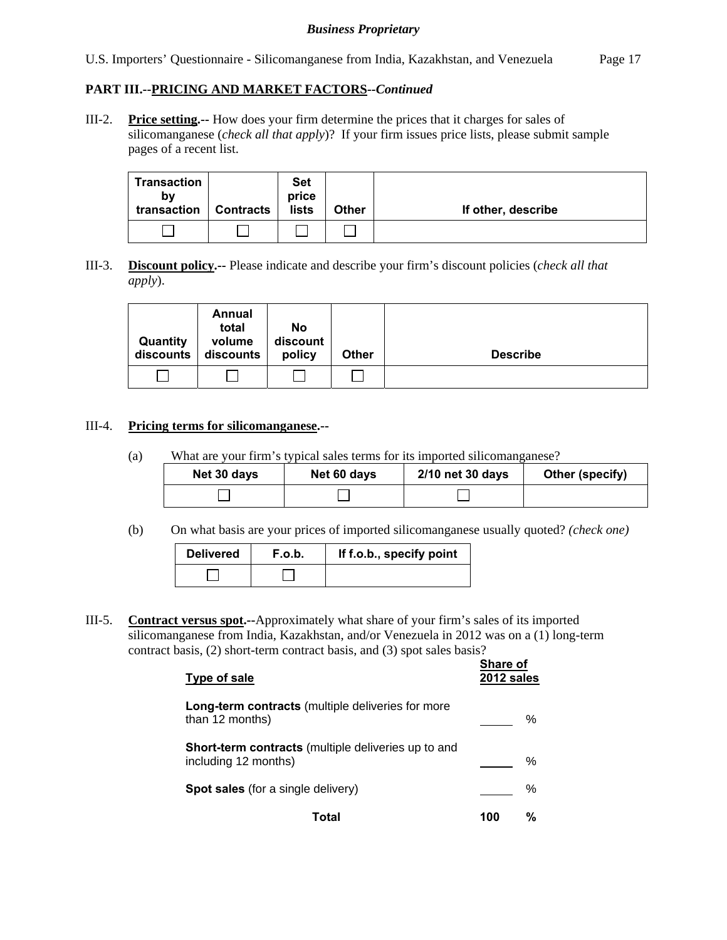U.S. Importers' Questionnaire - Silicomanganese from India, Kazakhstan, and Venezuela Page 17

# **PART III.--PRICING AND MARKET FACTORS***--Continued*

III-2. **Price setting.--** How does your firm determine the prices that it charges for sales of silicomanganese (*check all that apply*)? If your firm issues price lists, please submit sample pages of a recent list.

| <b>Transaction</b><br>bv<br>transaction | <b>Contracts</b> | <b>Set</b><br>price<br>lists | <b>Other</b> | If other, describe |
|-----------------------------------------|------------------|------------------------------|--------------|--------------------|
|                                         |                  |                              |              |                    |

III-3. **Discount policy.--** Please indicate and describe your firm's discount policies (*check all that apply*).

| Quantity<br>discounts | Annual<br>total<br>volume<br>discounts | No<br>discount<br>policy | <b>Other</b> | <b>Describe</b> |
|-----------------------|----------------------------------------|--------------------------|--------------|-----------------|
|                       |                                        |                          |              |                 |

#### III-4. **Pricing terms for silicomanganese.--**

(a) What are your firm's typical sales terms for its imported silicomanganese?

| Net 30 days | Net 60 days | 2/10 net 30 days | Other (specify) |
|-------------|-------------|------------------|-----------------|
|             |             |                  |                 |

(b) On what basis are your prices of imported silicomanganese usually quoted? *(check one)*

| <b>Delivered</b> | F.o.b. | If f.o.b., specify point |
|------------------|--------|--------------------------|
|                  |        |                          |

III-5. **Contract versus spot.--**Approximately what share of your firm's sales of its imported silicomanganese from India, Kazakhstan, and/or Venezuela in 2012 was on a (1) long-term contract basis, (2) short-term contract basis, and (3) spot sales basis?

| Type of sale                                                                       | <b>Share of</b><br>2012 sales |   |
|------------------------------------------------------------------------------------|-------------------------------|---|
| <b>Long-term contracts</b> (multiple deliveries for more<br>than 12 months)        |                               | ℅ |
| <b>Short-term contracts</b> (multiple deliveries up to and<br>including 12 months) |                               | ℅ |
| <b>Spot sales</b> (for a single delivery)                                          |                               | % |
| Total                                                                              | 100                           | % |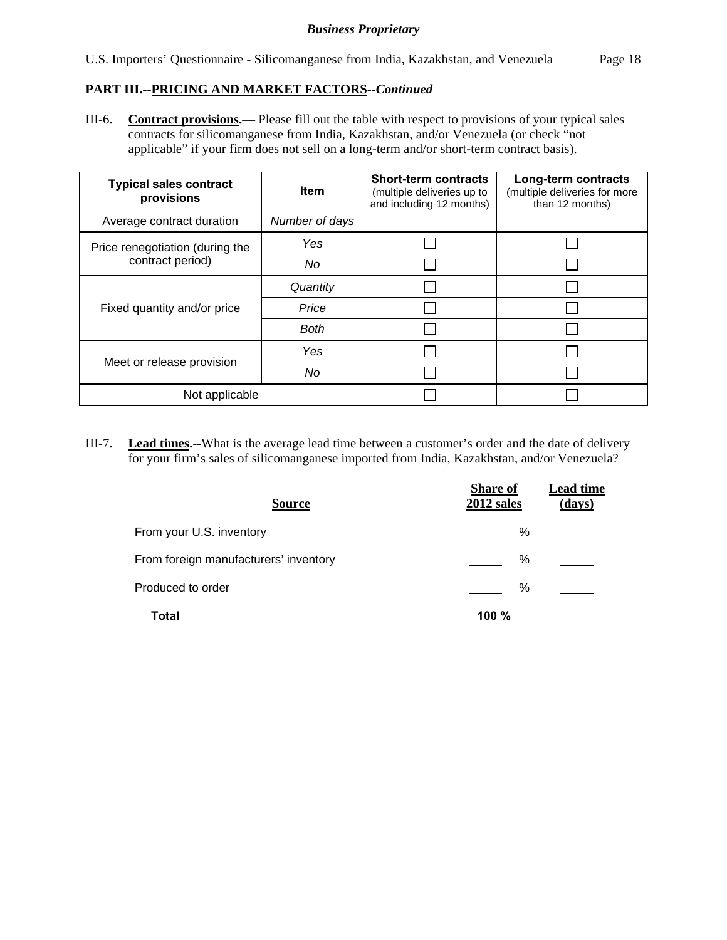#### **PART III.--PRICING AND MARKET FACTORS***--Continued*

III-6. **Contract provisions.—** Please fill out the table with respect to provisions of your typical sales contracts for silicomanganese from India, Kazakhstan, and/or Venezuela (or check "not applicable" if your firm does not sell on a long-term and/or short-term contract basis).

| <b>Typical sales contract</b><br>provisions | <b>Item</b>    | <b>Short-term contracts</b><br>(multiple deliveries up to<br>and including 12 months) | Long-term contracts<br>(multiple deliveries for more<br>than 12 months) |
|---------------------------------------------|----------------|---------------------------------------------------------------------------------------|-------------------------------------------------------------------------|
| Average contract duration                   | Number of days |                                                                                       |                                                                         |
| Price renegotiation (during the             | Yes            |                                                                                       |                                                                         |
| contract period)                            | No             |                                                                                       |                                                                         |
|                                             | Quantity       |                                                                                       |                                                                         |
| Fixed quantity and/or price                 | Price          |                                                                                       |                                                                         |
|                                             | <b>Both</b>    |                                                                                       |                                                                         |
|                                             | Yes            |                                                                                       |                                                                         |
| Meet or release provision                   | No             |                                                                                       |                                                                         |
| Not applicable                              |                |                                                                                       |                                                                         |

III-7. **Lead times.--**What is the average lead time between a customer's order and the date of delivery for your firm's sales of silicomanganese imported from India, Kazakhstan, and/or Venezuela?

| <b>Source</b>                         | <b>Share of</b><br>2012 sales | <b>Lead time</b><br>(days) |
|---------------------------------------|-------------------------------|----------------------------|
| From your U.S. inventory              | %                             |                            |
| From foreign manufacturers' inventory | ℅                             |                            |
| Produced to order                     | ℅                             |                            |
| Total                                 | 100 %                         |                            |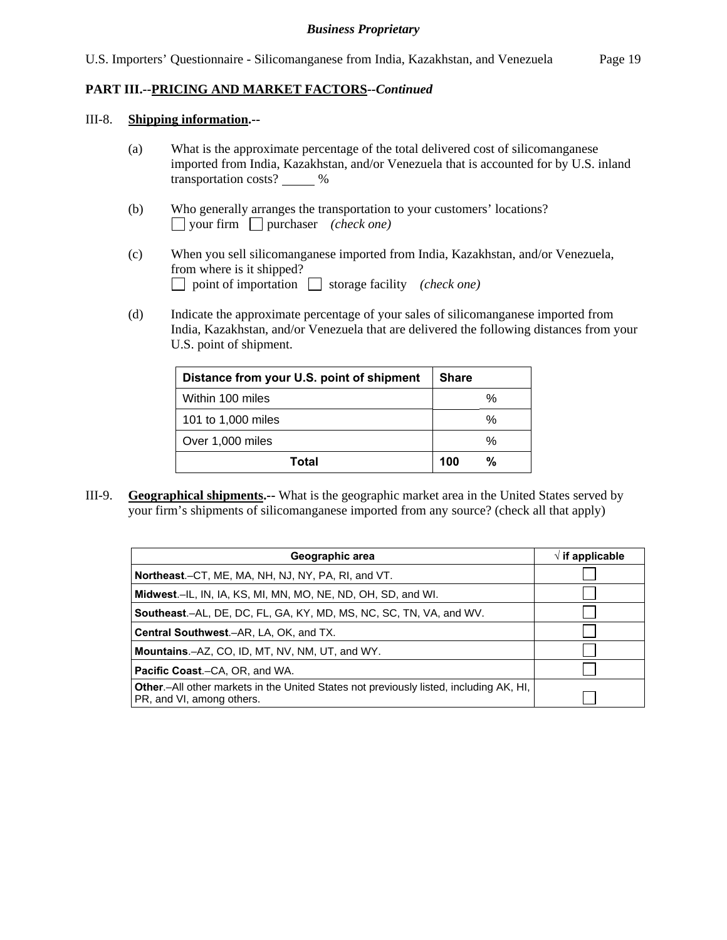**PART III.--PRICING AND MARKET FACTORS***--Continued* 

#### III-8. **Shipping information.--**

- (a) What is the approximate percentage of the total delivered cost of silicomanganese imported from India, Kazakhstan, and/or Venezuela that is accounted for by U.S. inland transportation costs? 6%
- (b) Who generally arranges the transportation to your customers' locations? your firm purchaser *(check one)*
- (c) When you sell silicomanganese imported from India, Kazakhstan, and/or Venezuela, from where is it shipped? point of importation  $\Box$  storage facility *(check one)*
- (d) Indicate the approximate percentage of your sales of silicomanganese imported from India, Kazakhstan, and/or Venezuela that are delivered the following distances from your U.S. point of shipment.

| Distance from your U.S. point of shipment | <b>Share</b> |
|-------------------------------------------|--------------|
| Within 100 miles                          | $\%$         |
| 101 to 1,000 miles                        | ℅            |
| Over 1,000 miles                          | $\%$         |
| Total                                     | %<br>100     |

III-9. **Geographical shipments.--** What is the geographic market area in the United States served by your firm's shipments of silicomanganese imported from any source? (check all that apply)

| Geographic area                                                                                                             | $\sqrt{ }$ if applicable |
|-----------------------------------------------------------------------------------------------------------------------------|--------------------------|
| Northeast.–CT, ME, MA, NH, NJ, NY, PA, RI, and VT.                                                                          |                          |
| Midwest.–IL, IN, IA, KS, MI, MN, MO, NE, ND, OH, SD, and WI.                                                                |                          |
| <b>Southeast.–AL, DE, DC, FL, GA, KY, MD, MS, NC, SC, TN, VA, and WV.</b>                                                   |                          |
| <b>Central Southwest.–AR, LA, OK, and TX.</b>                                                                               |                          |
| <b>Mountains.</b> -AZ, CO, ID, MT, NV, NM, UT, and WY.                                                                      |                          |
| <b>Pacific Coast.–CA, OR, and WA.</b>                                                                                       |                          |
| <b>Other</b> - All other markets in the United States not previously listed, including AK, HI,<br>PR, and VI, among others. |                          |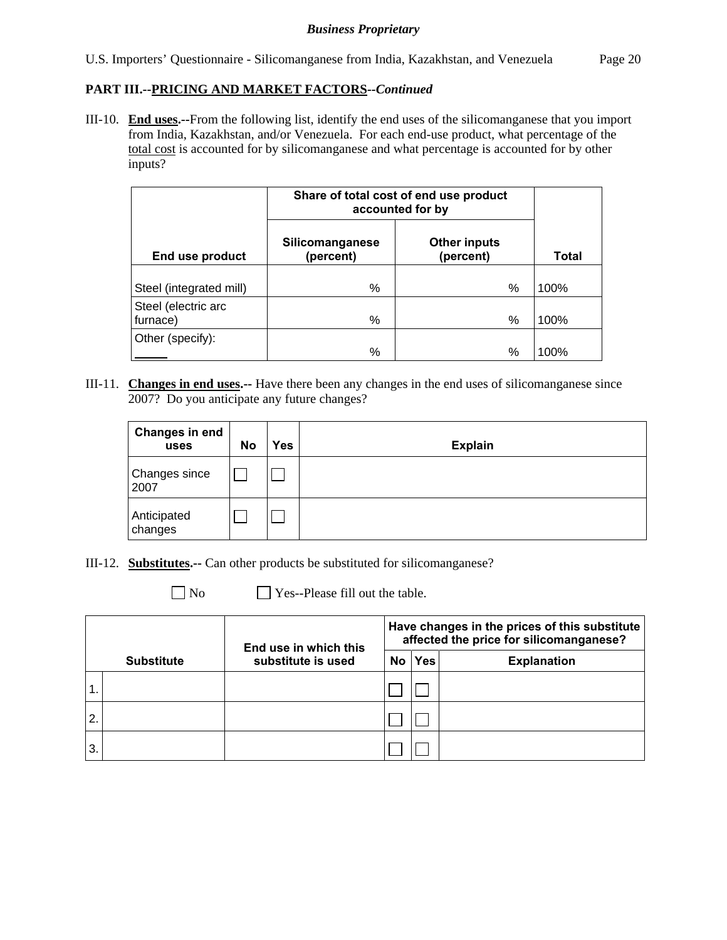#### **PART III.--PRICING AND MARKET FACTORS***--Continued*

III-10. **End uses.--**From the following list, identify the end uses of the silicomanganese that you import from India, Kazakhstan, and/or Venezuela. For each end-use product, what percentage of the total cost is accounted for by silicomanganese and what percentage is accounted for by other inputs?

|                         | Share of total cost of end use product<br>accounted for by |                                  |              |
|-------------------------|------------------------------------------------------------|----------------------------------|--------------|
| End use product         | Silicomanganese<br>(percent)                               | <b>Other inputs</b><br>(percent) | <b>Total</b> |
|                         | %                                                          | %                                | 100%         |
| Steel (integrated mill) |                                                            |                                  |              |
| Steel (electric arc     |                                                            |                                  |              |
| furnace)                | %                                                          | %                                | 100%         |
| Other (specify):        | %                                                          | %                                | 100%         |

III-11. **Changes in end uses.--** Have there been any changes in the end uses of silicomanganese since 2007? Do you anticipate any future changes?

| <b>Changes in end</b><br>uses | <b>No</b> | Yes | <b>Explain</b> |
|-------------------------------|-----------|-----|----------------|
| Changes since<br>2007         |           |     |                |
| Anticipated<br>changes        |           |     |                |

III-12. **Substitutes.--** Can other products be substituted for silicomanganese?

No **No** Yes--Please fill out the table.

|    |                   | End use in which this |     | Have changes in the prices of this substitute<br>affected the price for silicomanganese? |                    |  |  |
|----|-------------------|-----------------------|-----|------------------------------------------------------------------------------------------|--------------------|--|--|
|    | <b>Substitute</b> | substitute is used    | No. | <b>Yes</b>                                                                               | <b>Explanation</b> |  |  |
|    |                   |                       |     |                                                                                          |                    |  |  |
| 2. |                   |                       |     |                                                                                          |                    |  |  |
| 3. |                   |                       |     |                                                                                          |                    |  |  |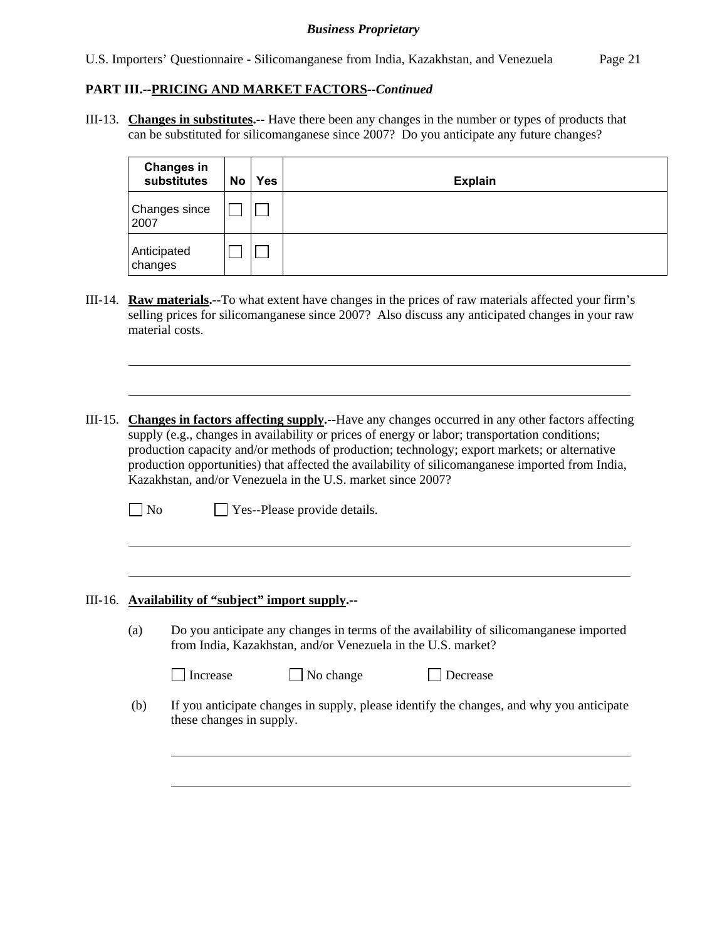U.S. Importers' Questionnaire - Silicomanganese from India, Kazakhstan, and Venezuela Page 21

# **PART III.--PRICING AND MARKET FACTORS***--Continued*

III-13. **Changes in substitutes.--** Have there been any changes in the number or types of products that can be substituted for silicomanganese since 2007? Do you anticipate any future changes?

| <b>Changes in</b><br>substitutes | No | <b>Yes</b> | <b>Explain</b> |
|----------------------------------|----|------------|----------------|
| Changes since<br>2007            |    |            |                |
| Anticipated<br>changes           |    |            |                |

- III-14. **Raw materials.--**To what extent have changes in the prices of raw materials affected your firm's selling prices for silicomanganese since 2007? Also discuss any anticipated changes in your raw material costs.
- III-15. **Changes in factors affecting supply.--**Have any changes occurred in any other factors affecting supply (e.g., changes in availability or prices of energy or labor; transportation conditions; production capacity and/or methods of production; technology; export markets; or alternative production opportunities) that affected the availability of silicomanganese imported from India, Kazakhstan, and/or Venezuela in the U.S. market since 2007?

| $\Box$ No | $\Box$ Yes--Please provide details. |  |
|-----------|-------------------------------------|--|
|-----------|-------------------------------------|--|

#### III-16. **Availability of "subject" import supply.--**

l

l

 $\overline{a}$ 

(a) Do you anticipate any changes in terms of the availability of silicomanganese imported from India, Kazakhstan, and/or Venezuela in the U.S. market?

| Increase | $\vert$ No cha |
|----------|----------------|
|----------|----------------|

ange  $\Box$  Decrease

 (b) If you anticipate changes in supply, please identify the changes, and why you anticipate these changes in supply.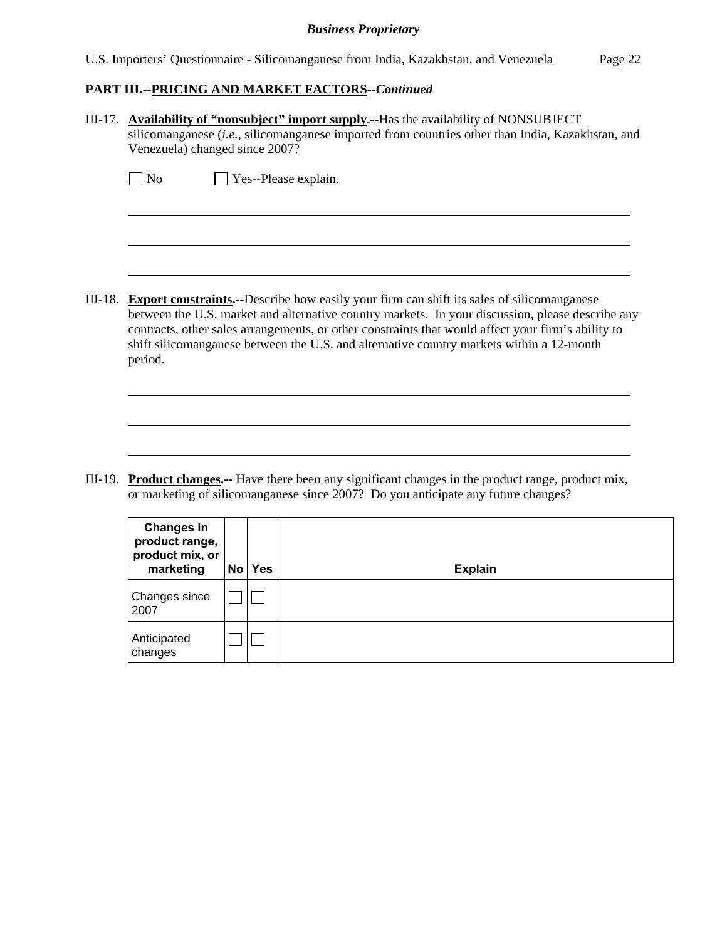U.S. Importers' Questionnaire - Silicomanganese from India, Kazakhstan, and Venezuela Page 22

# **PART III.--PRICING AND MARKET FACTORS***--Continued*

Anticipated changes

 $\Box$ Box

| $III-17.$ | <b>Availability of "nonsubject" import supply.</b> --Has the availability of NONSUBJECT<br>silicomanganese (i.e., silicomanganese imported from countries other than India, Kazakhstan, and<br>Venezuela) changed since 2007? |                                                                                                                                                                                                                                                                                                                                                                                                         |        |                                                                                                                                                                                            |  |  |  |
|-----------|-------------------------------------------------------------------------------------------------------------------------------------------------------------------------------------------------------------------------------|---------------------------------------------------------------------------------------------------------------------------------------------------------------------------------------------------------------------------------------------------------------------------------------------------------------------------------------------------------------------------------------------------------|--------|--------------------------------------------------------------------------------------------------------------------------------------------------------------------------------------------|--|--|--|
|           | $\blacksquare$ No                                                                                                                                                                                                             |                                                                                                                                                                                                                                                                                                                                                                                                         |        | Yes--Please explain.                                                                                                                                                                       |  |  |  |
| III-18.   | period.                                                                                                                                                                                                                       | <b>Export constraints.</b> --Describe how easily your firm can shift its sales of silicomanganese<br>between the U.S. market and alternative country markets. In your discussion, please describe any<br>contracts, other sales arrangements, or other constraints that would affect your firm's ability to<br>shift silicomanganese between the U.S. and alternative country markets within a 12-month |        |                                                                                                                                                                                            |  |  |  |
| III-19.   |                                                                                                                                                                                                                               |                                                                                                                                                                                                                                                                                                                                                                                                         |        | <b>Product changes.</b> -- Have there been any significant changes in the product range, product mix,<br>or marketing of silicomanganese since 2007? Do you anticipate any future changes? |  |  |  |
|           | <b>Changes in</b><br>product range,<br>product mix, or<br>marketing                                                                                                                                                           |                                                                                                                                                                                                                                                                                                                                                                                                         | No Yes | <b>Explain</b>                                                                                                                                                                             |  |  |  |
|           | Changes since<br>2007                                                                                                                                                                                                         |                                                                                                                                                                                                                                                                                                                                                                                                         |        |                                                                                                                                                                                            |  |  |  |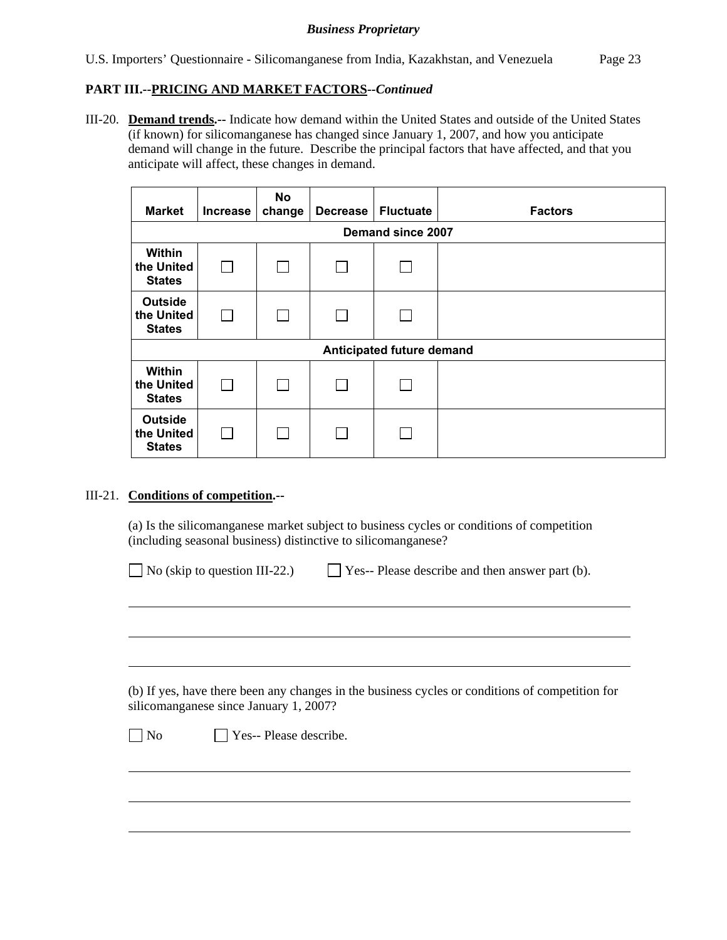### **PART III.--PRICING AND MARKET FACTORS***--Continued*

III-20. **Demand trends.--** Indicate how demand within the United States and outside of the United States (if known) for silicomanganese has changed since January 1, 2007, and how you anticipate demand will change in the future. Describe the principal factors that have affected, and that you anticipate will affect, these changes in demand.

| <b>Market</b>                                 | <b>Increase</b>   | No<br>change | <b>Decrease</b> | <b>Fluctuate</b>          | <b>Factors</b> |  |  |  |  |
|-----------------------------------------------|-------------------|--------------|-----------------|---------------------------|----------------|--|--|--|--|
|                                               | Demand since 2007 |              |                 |                           |                |  |  |  |  |
| Within<br>the United<br><b>States</b>         |                   |              |                 |                           |                |  |  |  |  |
| <b>Outside</b><br>the United<br><b>States</b> |                   |              |                 |                           |                |  |  |  |  |
|                                               |                   |              |                 | Anticipated future demand |                |  |  |  |  |
| Within<br>the United<br><b>States</b>         |                   |              |                 |                           |                |  |  |  |  |
| <b>Outside</b><br>the United<br><b>States</b> |                   |              |                 |                           |                |  |  |  |  |

### III-21. **Conditions of competition.--**

l

 $\overline{a}$ 

(a) Is the silicomanganese market subject to business cycles or conditions of competition (including seasonal business) distinctive to silicomanganese?

| $\Box$ No (skip to question III-22.) | $\Box$ Yes-- Please describe and then answer part (b). |
|--------------------------------------|--------------------------------------------------------|
|--------------------------------------|--------------------------------------------------------|

 (b) If yes, have there been any changes in the business cycles or conditions of competition for silicomanganese since January 1, 2007?

 $\neg$  No  $\neg$  Yes-- Please describe.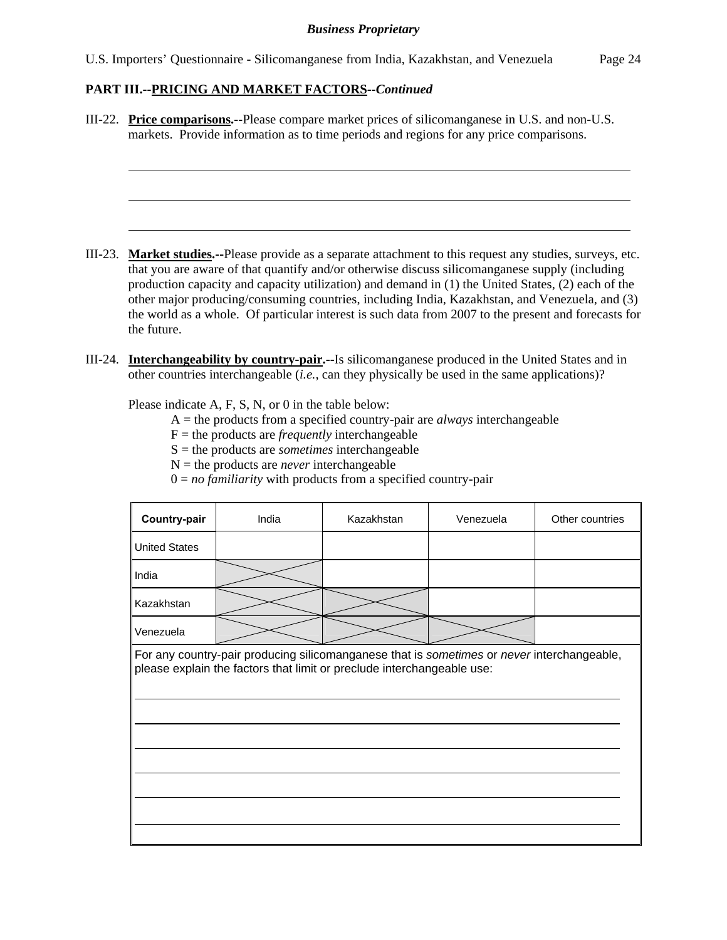#### **PART III.--PRICING AND MARKET FACTORS***--Continued*

l

III-22. **Price comparisons.--**Please compare market prices of silicomanganese in U.S. and non-U.S. markets. Provide information as to time periods and regions for any price comparisons.

- III-23. **Market studies.--**Please provide as a separate attachment to this request any studies, surveys, etc. that you are aware of that quantify and/or otherwise discuss silicomanganese supply (including production capacity and capacity utilization) and demand in (1) the United States, (2) each of the other major producing/consuming countries, including India, Kazakhstan, and Venezuela, and (3) the world as a whole. Of particular interest is such data from 2007 to the present and forecasts for the future.
- III-24. **Interchangeability by country-pair.--**Is silicomanganese produced in the United States and in other countries interchangeable (*i.e.*, can they physically be used in the same applications)?

Please indicate A, F, S, N, or 0 in the table below:

- A = the products from a specified country-pair are *always* interchangeable
- $F =$  the products are *frequently* interchangeable
- S = the products are *sometimes* interchangeable
- $N =$  the products are *never* interchangeable
- 0 = *no familiarity* with products from a specified country-pair

| Country-pair                                                                                                                                                         | India | Kazakhstan | Venezuela | Other countries |  |  |
|----------------------------------------------------------------------------------------------------------------------------------------------------------------------|-------|------------|-----------|-----------------|--|--|
| <b>United States</b>                                                                                                                                                 |       |            |           |                 |  |  |
| India                                                                                                                                                                |       |            |           |                 |  |  |
| Kazakhstan                                                                                                                                                           |       |            |           |                 |  |  |
| Venezuela                                                                                                                                                            |       |            |           |                 |  |  |
| For any country-pair producing silicomanganese that is sometimes or never interchangeable,<br>please explain the factors that limit or preclude interchangeable use: |       |            |           |                 |  |  |
|                                                                                                                                                                      |       |            |           |                 |  |  |
|                                                                                                                                                                      |       |            |           |                 |  |  |